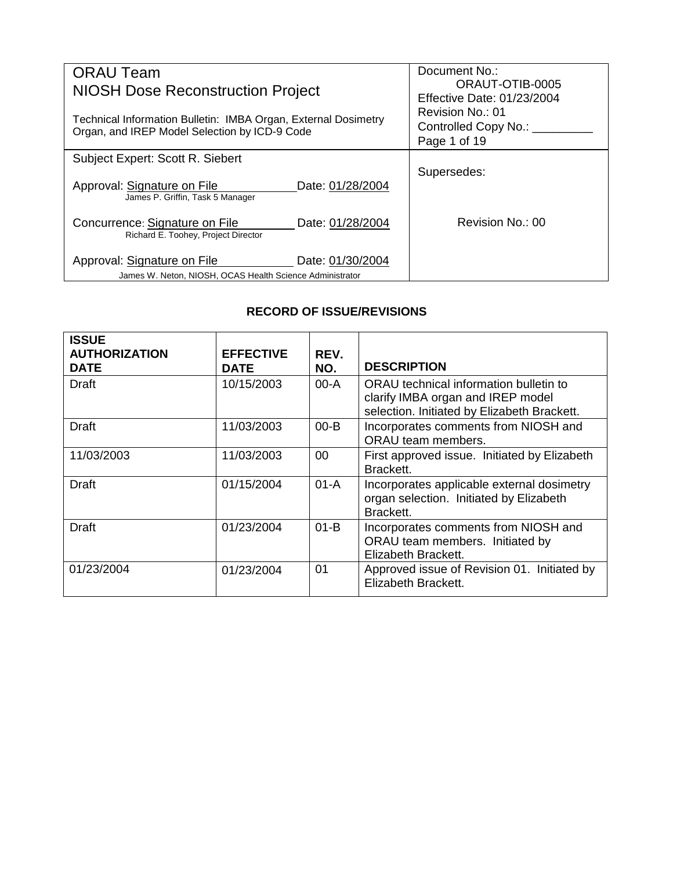| <b>ORAU Team</b><br><b>NIOSH Dose Reconstruction Project</b>                                                    | Document No.:<br>ORAUT-OTIB-0005<br>Effective Date: 01/23/2004 |
|-----------------------------------------------------------------------------------------------------------------|----------------------------------------------------------------|
| Technical Information Bulletin: IMBA Organ, External Dosimetry<br>Organ, and IREP Model Selection by ICD-9 Code | Revision No.: 01<br>Controlled Copy No.: ___<br>Page 1 of 19   |
| Subject Expert: Scott R. Siebert                                                                                |                                                                |
| Approval: Signature on File<br>Date: 01/28/2004<br>James P. Griffin, Task 5 Manager                             | Supersedes:                                                    |
| Concurrence: Signature on File<br>Date: 01/28/2004<br>Richard E. Toohey, Project Director                       | Revision No.: 00                                               |
| Approval: Signature on File<br>Date: 01/30/2004<br>James W. Neton, NIOSH, OCAS Health Science Administrator     |                                                                |

# **RECORD OF ISSUE/REVISIONS**

| <b>ISSUE</b><br><b>AUTHORIZATION</b><br><b>DATE</b> | <b>EFFECTIVE</b><br><b>DATE</b> | REV.<br>NO. | <b>DESCRIPTION</b>                                                                                                         |
|-----------------------------------------------------|---------------------------------|-------------|----------------------------------------------------------------------------------------------------------------------------|
| Draft                                               | 10/15/2003                      | $00-A$      | ORAU technical information bulletin to<br>clarify IMBA organ and IREP model<br>selection. Initiated by Elizabeth Brackett. |
| Draft                                               | 11/03/2003                      | $00 - B$    | Incorporates comments from NIOSH and<br>ORAU team members.                                                                 |
| 11/03/2003                                          | 11/03/2003                      | 00          | First approved issue. Initiated by Elizabeth<br>Brackett.                                                                  |
| Draft                                               | 01/15/2004                      | $01-A$      | Incorporates applicable external dosimetry<br>organ selection. Initiated by Elizabeth<br>Brackett.                         |
| Draft                                               | 01/23/2004                      | $01-B$      | Incorporates comments from NIOSH and<br>ORAU team members. Initiated by<br>Elizabeth Brackett.                             |
| 01/23/2004                                          | 01/23/2004                      | 01          | Approved issue of Revision 01. Initiated by<br>Elizabeth Brackett.                                                         |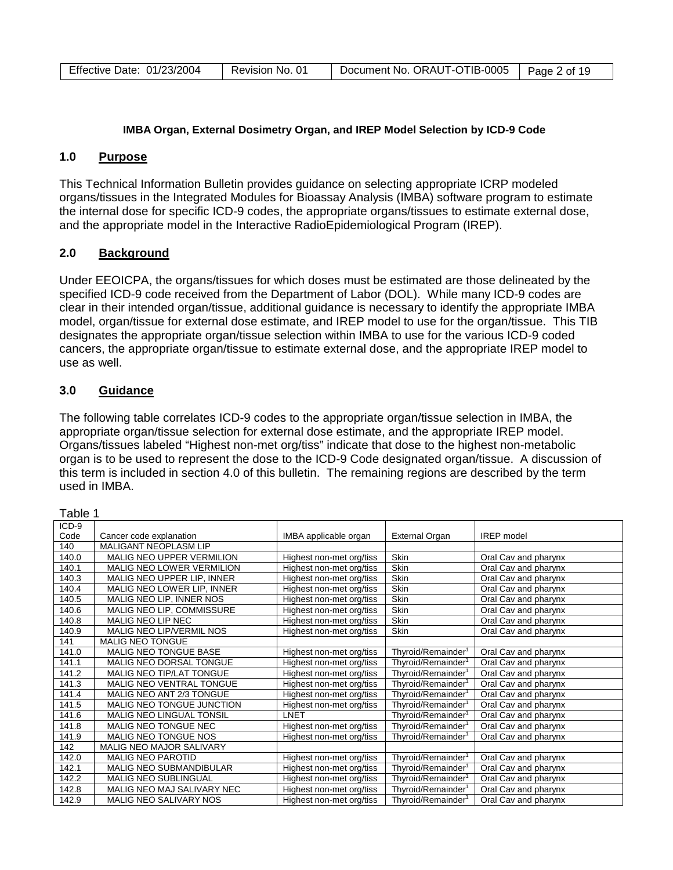| Effective Date: 01/23/2004 | Document No. ORAUT-OTIB-0005 |
|----------------------------|------------------------------|
| Revision No. 01            | Page 2 of 19                 |

## **IMBA Organ, External Dosimetry Organ, and IREP Model Selection by ICD-9 Code**

#### **1.0 Purpose**

This Technical Information Bulletin provides guidance on selecting appropriate ICRP modeled organs/tissues in the Integrated Modules for Bioassay Analysis (IMBA) software program to estimate the internal dose for specific ICD-9 codes, the appropriate organs/tissues to estimate external dose, and the appropriate model in the Interactive RadioEpidemiological Program (IREP).

## **2.0 Background**

Under EEOICPA, the organs/tissues for which doses must be estimated are those delineated by the specified ICD-9 code received from the Department of Labor (DOL). While many ICD-9 codes are clear in their intended organ/tissue, additional guidance is necessary to identify the appropriate IMBA model, organ/tissue for external dose estimate, and IREP model to use for the organ/tissue. This TIB designates the appropriate organ/tissue selection within IMBA to use for the various ICD-9 coded cancers, the appropriate organ/tissue to estimate external dose, and the appropriate IREP model to use as well.

## **3.0 Guidance**

The following table correlates ICD-9 codes to the appropriate organ/tissue selection in IMBA, the appropriate organ/tissue selection for external dose estimate, and the appropriate IREP model. Organs/tissues labeled "Highest non-met org/tiss" indicate that dose to the highest non-metabolic organ is to be used to represent the dose to the ICD-9 Code designated organ/tissue. A discussion of this term is included in section 4.0 of this bulletin. The remaining regions are described by the term used in IMBA.

| Table 1 |                                 |                          |                                |                      |
|---------|---------------------------------|--------------------------|--------------------------------|----------------------|
| ICD-9   |                                 |                          |                                |                      |
| Code    | Cancer code explanation         | IMBA applicable organ    | <b>External Organ</b>          | <b>IREP</b> model    |
| 140     | <b>MALIGANT NEOPLASM LIP</b>    |                          |                                |                      |
| 140.0   | MALIG NEO UPPER VERMILION       | Highest non-met org/tiss | Skin                           | Oral Cav and pharynx |
| 140.1   | MALIG NEO LOWER VERMILION       | Highest non-met org/tiss | Skin                           | Oral Cav and pharynx |
| 140.3   | MALIG NEO UPPER LIP, INNER      | Highest non-met org/tiss | Skin                           | Oral Cav and pharynx |
| 140.4   | MALIG NEO LOWER LIP, INNER      | Highest non-met org/tiss | Skin                           | Oral Cav and pharynx |
| 140.5   | MALIG NEO LIP, INNER NOS        | Highest non-met org/tiss | Skin                           | Oral Cav and pharynx |
| 140.6   | MALIG NEO LIP, COMMISSURE       | Highest non-met org/tiss | Skin                           | Oral Cav and pharynx |
| 140.8   | MALIG NEO LIP NEC               | Highest non-met org/tiss | Skin                           | Oral Cav and pharynx |
| 140.9   | <b>MALIG NEO LIP/VERMIL NOS</b> | Highest non-met org/tiss | Skin                           | Oral Cav and pharynx |
| 141     | <b>MALIG NEO TONGUE</b>         |                          |                                |                      |
| 141.0   | MALIG NEO TONGUE BASE           | Highest non-met org/tiss | Thyroid/Remainder <sup>1</sup> | Oral Cav and pharynx |
| 141.1   | MALIG NEO DORSAL TONGUE         | Highest non-met org/tiss | Thyroid/Remainder <sup>1</sup> | Oral Cav and pharynx |
| 141.2   | MALIG NEO TIP/LAT TONGUE        | Highest non-met org/tiss | Thyroid/Remainder <sup>1</sup> | Oral Cav and pharynx |
| 141.3   | <b>MALIG NEO VENTRAL TONGUE</b> | Highest non-met org/tiss | Thyroid/Remainder <sup>1</sup> | Oral Cav and pharynx |
| 141.4   | MALIG NEO ANT 2/3 TONGUE        | Highest non-met org/tiss | Thyroid/Remainder <sup>1</sup> | Oral Cav and pharynx |
| 141.5   | MALIG NEO TONGUE JUNCTION       | Highest non-met org/tiss | Thyroid/Remainder <sup>1</sup> | Oral Cav and pharynx |
| 141.6   | MALIG NEO LINGUAL TONSIL        | LNET                     | Thyroid/Remainder <sup>1</sup> | Oral Cav and pharynx |
| 141.8   | MALIG NEO TONGUE NEC            | Highest non-met org/tiss | Thyroid/Remainder <sup>1</sup> | Oral Cav and pharynx |
| 141.9   | MALIG NEO TONGUE NOS            | Highest non-met org/tiss | Thyroid/Remainder <sup>1</sup> | Oral Cav and pharynx |
| 142     | MALIG NEO MAJOR SALIVARY        |                          |                                |                      |
| 142.0   | <b>MALIG NEO PAROTID</b>        | Highest non-met org/tiss | Thyroid/Remainder <sup>1</sup> | Oral Cav and pharynx |
| 142.1   | <b>MALIG NEO SUBMANDIBULAR</b>  | Highest non-met org/tiss | Thyroid/Remainder <sup>1</sup> | Oral Cav and pharynx |
| 142.2   | <b>MALIG NEO SUBLINGUAL</b>     | Highest non-met org/tiss | Thyroid/Remainder <sup>1</sup> | Oral Cav and pharynx |
| 142.8   | MALIG NEO MAJ SALIVARY NEC      | Highest non-met org/tiss | Thyroid/Remainder <sup>1</sup> | Oral Cav and pharynx |
| 142.9   | <b>MALIG NEO SALIVARY NOS</b>   | Highest non-met org/tiss | Thyroid/Remainder <sup>1</sup> | Oral Cav and pharynx |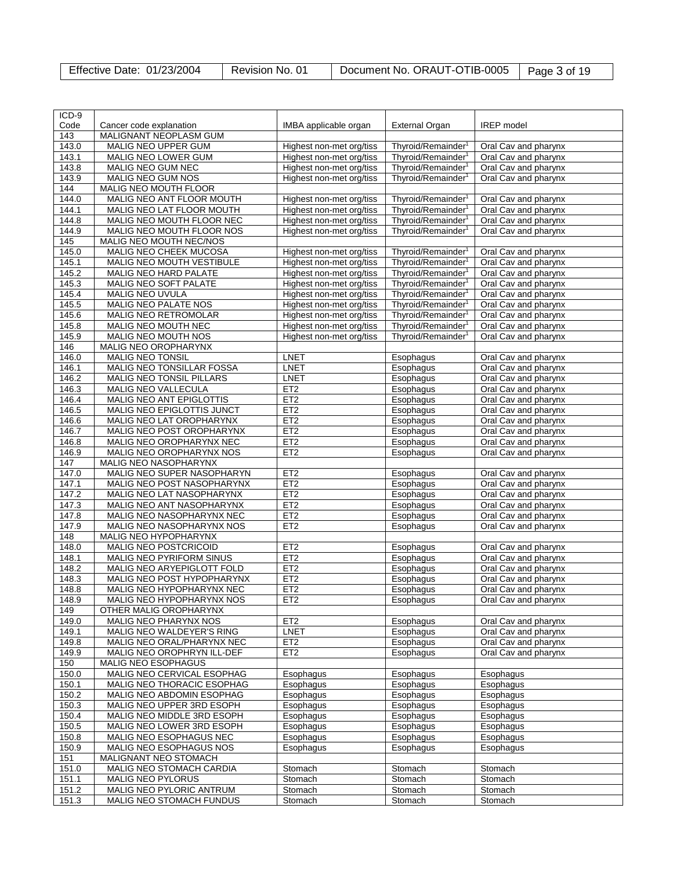| Effective Date: 01/23/2004 | Revision No. 01 | Document No. ORAUT-OTIB-0005   Page 3 of 19 |  |
|----------------------------|-----------------|---------------------------------------------|--|
|----------------------------|-----------------|---------------------------------------------|--|

| ICD-9          |                                               |                          |                                |                      |
|----------------|-----------------------------------------------|--------------------------|--------------------------------|----------------------|
| Code           | Cancer code explanation                       | IMBA applicable organ    | <b>External Organ</b>          | <b>IREP</b> model    |
| 143            | MALIGNANT NEOPLASM GUM                        |                          |                                |                      |
| 143.0          | <b>MALIG NEO UPPER GUM</b>                    | Highest non-met org/tiss | Thyroid/Remainder <sup>1</sup> | Oral Cav and pharynx |
| 143.1          | MALIG NEO LOWER GUM                           | Highest non-met org/tiss | Thyroid/Remainder <sup>1</sup> | Oral Cav and pharynx |
| 143.8          | MALIG NEO GUM NEC                             | Highest non-met org/tiss | Thyroid/Remainder <sup>1</sup> | Oral Cav and pharynx |
| 143.9          | MALIG NEO GUM NOS                             | Highest non-met org/tiss | Thyroid/Remainder <sup>1</sup> | Oral Cav and pharynx |
| 144            | MALIG NEO MOUTH FLOOR                         |                          |                                |                      |
| 144.0          | MALIG NEO ANT FLOOR MOUTH                     | Highest non-met org/tiss | Thyroid/Remainder <sup>1</sup> | Oral Cav and pharynx |
| 144.1          | MALIG NEO LAT FLOOR MOUTH                     | Highest non-met org/tiss | Thyroid/Remainder <sup>1</sup> | Oral Cav and pharynx |
| 144.8          | MALIG NEO MOUTH FLOOR NEC                     | Highest non-met org/tiss | Thyroid/Remainder <sup>1</sup> | Oral Cav and pharynx |
| 144.9          | MALIG NEO MOUTH FLOOR NOS                     | Highest non-met org/tiss | Thyroid/Remainder <sup>1</sup> | Oral Cav and pharynx |
| 145            | MALIG NEO MOUTH NEC/NOS                       |                          |                                |                      |
| 145.0          | MALIG NEO CHEEK MUCOSA                        | Highest non-met org/tiss | Thyroid/Remainder <sup>1</sup> | Oral Cav and pharynx |
| 145.1          | MALIG NEO MOUTH VESTIBULE                     | Highest non-met org/tiss | Thyroid/Remainder <sup>1</sup> | Oral Cav and pharynx |
| 145.2          | <b>MALIG NEO HARD PALATE</b>                  | Highest non-met org/tiss | Thyroid/Remainder <sup>1</sup> | Oral Cav and pharynx |
| 145.3          | MALIG NEO SOFT PALATE                         | Highest non-met org/tiss | Thyroid/Remainder <sup>1</sup> | Oral Cav and pharynx |
| 145.4          | MALIG NEO UVULA                               | Highest non-met org/tiss | Thyroid/Remainder <sup>1</sup> | Oral Cav and pharynx |
| 145.5          | MALIG NEO PALATE NOS                          | Highest non-met org/tiss | Thyroid/Remainder <sup>1</sup> | Oral Cav and pharynx |
| 145.6          | MALIG NEO RETROMOLAR                          | Highest non-met org/tiss | Thyroid/Remainder <sup>1</sup> | Oral Cav and pharynx |
| 145.8          | MALIG NEO MOUTH NEC                           | Highest non-met org/tiss | Thyroid/Remainder <sup>1</sup> | Oral Cav and pharynx |
| 145.9          | MALIG NEO MOUTH NOS                           | Highest non-met org/tiss | Thyroid/Remainder <sup>1</sup> | Oral Cav and pharynx |
| 146            | MALIG NEO OROPHARYNX                          |                          |                                |                      |
| 146.0          | <b>MALIG NEO TONSIL</b>                       | <b>LNET</b>              | Esophagus                      | Oral Cav and pharynx |
| 146.1          | MALIG NEO TONSILLAR FOSSA                     | LNET                     | Esophagus                      | Oral Cav and pharynx |
| 146.2          | MALIG NEO TONSIL PILLARS                      | <b>LNET</b>              | Esophagus                      | Oral Cav and pharynx |
| 146.3          | MALIG NEO VALLECULA                           | ET <sub>2</sub>          | Esophagus                      | Oral Cav and pharynx |
| 146.4          | <b>MALIG NEO ANT EPIGLOTTIS</b>               | ET <sub>2</sub>          | Esophagus                      | Oral Cav and pharynx |
| 146.5          | MALIG NEO EPIGLOTTIS JUNCT                    | ET <sub>2</sub>          | Esophagus                      | Oral Cav and pharynx |
| 146.6          | MALIG NEO LAT OROPHARYNX                      | ET <sub>2</sub>          | Esophagus                      | Oral Cav and pharynx |
| 146.7          | MALIG NEO POST OROPHARYNX                     | ET <sub>2</sub>          | Esophagus                      | Oral Cav and pharynx |
| 146.8          | MALIG NEO OROPHARYNX NEC                      | ET <sub>2</sub>          | Esophagus                      | Oral Cav and pharynx |
| 146.9          | MALIG NEO OROPHARYNX NOS                      | ET <sub>2</sub>          | Esophagus                      | Oral Cav and pharynx |
| 147            | MALIG NEO NASOPHARYNX                         |                          |                                |                      |
| 147.0          | MALIG NEO SUPER NASOPHARYN                    | ET <sub>2</sub>          | Esophagus                      | Oral Cav and pharynx |
| 147.1          | MALIG NEO POST NASOPHARYNX                    | ET2                      | Esophagus                      | Oral Cav and pharynx |
| 147.2          | MALIG NEO LAT NASOPHARYNX                     | ET2                      | Esophagus                      | Oral Cav and pharynx |
| 147.3          | MALIG NEO ANT NASOPHARYNX                     | ET <sub>2</sub>          | Esophagus                      | Oral Cav and pharynx |
| 147.8          | MALIG NEO NASOPHARYNX NEC                     | ET <sub>2</sub>          | Esophagus                      | Oral Cav and pharynx |
| 147.9          | MALIG NEO NASOPHARYNX NOS                     | ET <sub>2</sub>          | Esophagus                      | Oral Cav and pharynx |
| 148            | MALIG NEO HYPOPHARYNX                         |                          |                                |                      |
| 148.0          | MALIG NEO POSTCRICOID                         | ET2                      | Esophagus                      | Oral Cav and pharynx |
| 148.1          | MALIG NEO PYRIFORM SINUS                      | ET <sub>2</sub>          | Esophagus                      | Oral Cav and pharynx |
| 148.2          | MALIG NEO ARYEPIGLOTT FOLD                    | ET <sub>2</sub>          | Esophagus                      | Oral Cav and pharynx |
| 148.3          | MALIG NEO POST HYPOPHARYNX                    | ET <sub>2</sub>          | Esophagus                      | Oral Cav and pharynx |
| 148.8          | MALIG NEO HYPOPHARYNX NEC                     | ET2                      | Esophagus                      | Oral Cav and pharynx |
| 148.9          | MALIG NEO HYPOPHARYNX NOS                     | E12                      | Esophagus                      | Oral Cav and pharynx |
| 149            | OTHER MALIG OROPHARYNX                        |                          |                                |                      |
| 149.0          | MALIG NEO PHARYNX NOS                         | ET <sub>2</sub>          | Esophagus                      | Oral Cav and pharynx |
| 149.1          | MALIG NEO WALDEYER'S RING                     | <b>LNET</b>              | Esophagus                      | Oral Cav and pharynx |
| 149.8          | MALIG NEO ORAL/PHARYNX NEC                    | ET <sub>2</sub>          | Esophagus                      | Oral Cav and pharynx |
| 149.9          | MALIG NEO OROPHRYN ILL-DEF                    | ET <sub>2</sub>          | Esophagus                      | Oral Cav and pharynx |
| 150            | <b>MALIG NEO ESOPHAGUS</b>                    |                          |                                |                      |
| 150.0          | MALIG NEO CERVICAL ESOPHAG                    | Esophagus                | Esophagus                      | Esophagus            |
| 150.1          | MALIG NEO THORACIC ESOPHAG                    | Esophagus                | Esophagus                      | Esophagus            |
| 150.2          | MALIG NEO ABDOMIN ESOPHAG                     | Esophagus                | Esophagus                      | Esophagus            |
| 150.3          | MALIG NEO UPPER 3RD ESOPH                     | Esophagus                | Esophagus                      | Esophagus            |
| 150.4          | MALIG NEO MIDDLE 3RD ESOPH                    | Esophagus                | Esophagus                      | Esophagus            |
| 150.5          | MALIG NEO LOWER 3RD ESOPH                     | Esophagus                | Esophagus                      | Esophagus            |
| 150.8          | MALIG NEO ESOPHAGUS NEC                       | Esophagus                | Esophagus                      | Esophagus            |
| 150.9          | MALIG NEO ESOPHAGUS NOS                       | Esophagus                | Esophagus                      | Esophagus            |
| 151            | MALIGNANT NEO STOMACH                         |                          |                                |                      |
| 151.0<br>151.1 | MALIG NEO STOMACH CARDIA<br>MALIG NEO PYLORUS | Stomach<br>Stomach       | Stomach<br>Stomach             | Stomach<br>Stomach   |
| 151.2          | MALIG NEO PYLORIC ANTRUM                      | Stomach                  | Stomach                        | Stomach              |
| 151.3          | MALIG NEO STOMACH FUNDUS                      | Stomach                  | Stomach                        | Stomach              |
|                |                                               |                          |                                |                      |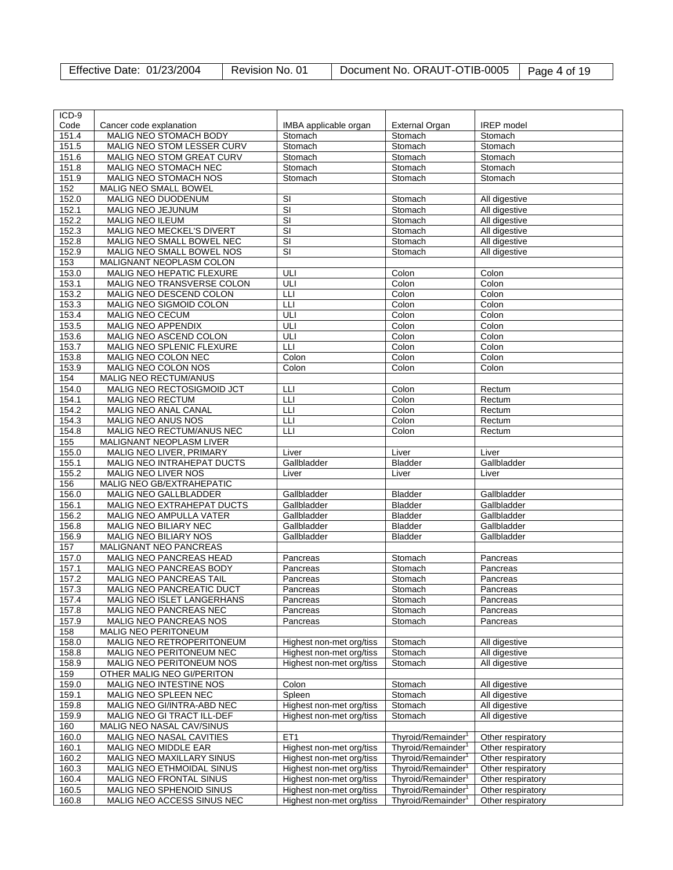| ICD-9 |                                  |                          |                                |                   |
|-------|----------------------------------|--------------------------|--------------------------------|-------------------|
| Code  | Cancer code explanation          | IMBA applicable organ    | External Organ                 | <b>IREP</b> model |
| 151.4 | MALIG NEO STOMACH BODY           |                          | Stomach                        | Stomach           |
|       |                                  | Stomach                  |                                |                   |
| 151.5 | MALIG NEO STOM LESSER CURV       | Stomach                  | Stomach                        | Stomach           |
| 151.6 | MALIG NEO STOM GREAT CURV        | Stomach                  | Stomach                        | Stomach           |
| 151.8 | MALIG NEO STOMACH NEC            | Stomach                  | Stomach                        | Stomach           |
| 151.9 | MALIG NEO STOMACH NOS            | Stomach                  | Stomach                        | Stomach           |
| 152   | MALIG NEO SMALL BOWEL            |                          |                                |                   |
| 152.0 | MALIG NEO DUODENUM               | SI                       | Stomach                        | All digestive     |
| 152.1 | MALIG NEO JEJUNUM                | $\overline{\mathsf{SI}}$ | Stomach                        | All digestive     |
| 152.2 | <b>MALIG NEO ILEUM</b>           | $\overline{\mathsf{SI}}$ | Stomach                        | All digestive     |
| 152.3 | MALIG NEO MECKEL'S DIVERT        | $\overline{\mathsf{S}}$  | Stomach                        | All digestive     |
| 152.8 | MALIG NEO SMALL BOWEL NEC        | $\overline{\mathsf{SI}}$ | Stomach                        | All digestive     |
| 152.9 | MALIG NEO SMALL BOWEL NOS        | $\overline{\mathsf{SI}}$ | Stomach                        | All digestive     |
| 153   | MALIGNANT NEOPLASM COLON         |                          |                                |                   |
| 153.0 | MALIG NEO HEPATIC FLEXURE        | ULI                      | Colon                          | Colon             |
| 153.1 | MALIG NEO TRANSVERSE COLON       | ULI                      | Colon                          | Colon             |
| 153.2 | MALIG NEO DESCEND COLON          | LLI                      | Colon                          | Colon             |
|       |                                  |                          |                                |                   |
| 153.3 | MALIG NEO SIGMOID COLON          | LLI                      | Colon                          | Colon             |
| 153.4 | <b>MALIG NEO CECUM</b>           | ULI                      | Colon                          | Colon             |
| 153.5 | MALIG NEO APPENDIX               | ULI                      | Colon                          | Colon             |
| 153.6 | MALIG NEO ASCEND COLON           | ULI                      | Colon                          | Colon             |
| 153.7 | MALIG NEO SPLENIC FLEXURE        | LLI                      | Colon                          | Colon             |
| 153.8 | MALIG NEO COLON NEC              | Colon                    | Colon                          | Colon             |
| 153.9 | MALIG NEO COLON NOS              | Colon                    | Colon                          | Colon             |
| 154   | MALIG NEO RECTUM/ANUS            |                          |                                |                   |
| 154.0 | MALIG NEO RECTOSIGMOID JCT       | LLI                      | Colon                          | Rectum            |
| 154.1 | <b>MALIG NEO RECTUM</b>          | LЦ                       | Colon                          | Rectum            |
| 154.2 | MALIG NEO ANAL CANAL             | ЦH                       | Colon                          | Rectum            |
| 154.3 | MALIG NEO ANUS NOS               | LLI                      | Colon                          | Rectum            |
| 154.8 | MALIG NEO RECTUM/ANUS NEC        | LLI                      | Colon                          | Rectum            |
| 155   | MALIGNANT NEOPLASM LIVER         |                          |                                |                   |
| 155.0 | MALIG NEO LIVER, PRIMARY         | Liver                    | Liver                          | Liver             |
|       |                                  |                          |                                |                   |
| 155.1 | MALIG NEO INTRAHEPAT DUCTS       | Gallbladder              | Bladder                        | Gallbladder       |
| 155.2 | MALIG NEO LIVER NOS              | Liver                    | Liver                          | Liver             |
| 156   | MALIG NEO GB/EXTRAHEPATIC        |                          |                                |                   |
| 156.0 | <b>MALIG NEO GALLBLADDER</b>     | Gallbladder              | <b>Bladder</b>                 | Gallbladder       |
| 156.1 | MALIG NEO EXTRAHEPAT DUCTS       | Gallbladder              | <b>Bladder</b>                 | Gallbladder       |
| 156.2 | MALIG NEO AMPULLA VATER          | Gallbladder              | Bladder                        | Gallbladder       |
| 156.8 | MALIG NEO BILIARY NEC            | Gallbladder              | <b>Bladder</b>                 | Gallbladder       |
| 156.9 | <b>MALIG NEO BILIARY NOS</b>     | Gallbladder              | <b>Bladder</b>                 | Gallbladder       |
| 157   | MALIGNANT NEO PANCREAS           |                          |                                |                   |
| 157.0 | MALIG NEO PANCREAS HEAD          | Pancreas                 | Stomach                        | Pancreas          |
| 157.1 | MALIG NEO PANCREAS BODY          | Pancreas                 | Stomach                        | Pancreas          |
| 157.2 | <b>MALIG NEO PANCREAS TAIL</b>   | Pancreas                 | Stomach                        | Pancreas          |
| 157.3 | <b>MALIG NEO PANCREATIC DUCT</b> | Pancreas                 | Stomach                        | Pancreas          |
| 157.4 | MALIG NEO ISLET LANGERHANS       | Pancreas                 | Stomach                        | <b>Pancreas</b>   |
| 157.8 | MALIG NEO PANCREAS NEC           | Pancreas                 | Stomach                        | Pancreas          |
| 157.9 | MALIG NEO PANCREAS NOS           | Pancreas                 | Stomach                        | Pancreas          |
| 158   | <b>MALIG NEO PERITONEUM</b>      |                          |                                |                   |
| 158.0 | MALIG NEO RETROPERITONEUM        |                          | Stomach                        | All digestive     |
|       |                                  | Highest non-met org/tiss |                                |                   |
| 158.8 | MALIG NEO PERITONEUM NEC         | Highest non-met org/tiss | Stomach                        | All digestive     |
| 158.9 | MALIG NEO PERITONEUM NOS         | Highest non-met org/tiss | Stomach                        | All digestive     |
| 159   | OTHER MALIG NEO GI/PERITON       |                          |                                |                   |
| 159.0 | MALIG NEO INTESTINE NOS          | Colon                    | Stomach                        | All digestive     |
| 159.1 | MALIG NEO SPLEEN NEC             | Spleen                   | Stomach                        | All digestive     |
| 159.8 | MALIG NEO GI/INTRA-ABD NEC       | Highest non-met org/tiss | Stomach                        | All digestive     |
| 159.9 | MALIG NEO GI TRACT ILL-DEF       | Highest non-met org/tiss | Stomach                        | All digestive     |
| 160   | MALIG NEO NASAL CAV/SINUS        |                          |                                |                   |
| 160.0 | MALIG NEO NASAL CAVITIES         | ET1                      | Thyroid/Remainder <sup>1</sup> | Other respiratory |
| 160.1 | MALIG NEO MIDDLE EAR             | Highest non-met org/tiss | Thyroid/Remainder <sup>1</sup> | Other respiratory |
| 160.2 | MALIG NEO MAXILLARY SINUS        | Highest non-met org/tiss | Thyroid/Remainder <sup>1</sup> | Other respiratory |
| 160.3 | MALIG NEO ETHMOIDAL SINUS        | Highest non-met org/tiss | Thyroid/Remainder <sup>1</sup> | Other respiratory |
| 160.4 | MALIG NEO FRONTAL SINUS          | Highest non-met org/tiss | Thyroid/Remainder <sup>1</sup> | Other respiratory |
| 160.5 | MALIG NEO SPHENOID SINUS         | Highest non-met org/tiss | Thyroid/Remainder <sup>1</sup> | Other respiratory |
| 160.8 | MALIG NEO ACCESS SINUS NEC       | Highest non-met org/tiss | Thyroid/Remainder <sup>1</sup> | Other respiratory |
|       |                                  |                          |                                |                   |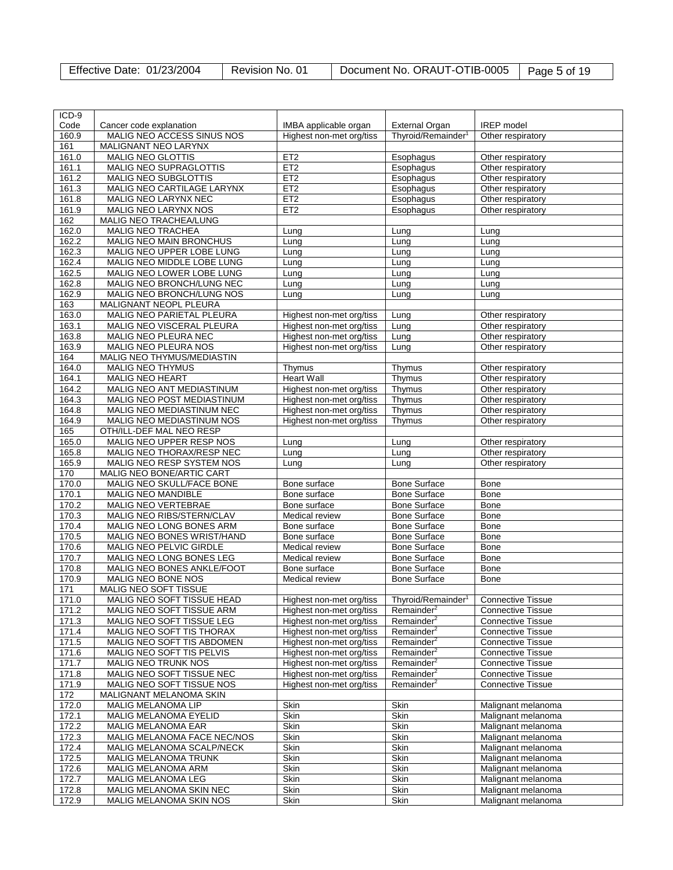| Effective Date: 01/23/2004 | Revision No. 01 | Document No. ORAUT-OTIB-0005   Page 5 of 19 |  |
|----------------------------|-----------------|---------------------------------------------|--|
|----------------------------|-----------------|---------------------------------------------|--|

| ICD-9          |                                                    |                          |                                |                                                      |
|----------------|----------------------------------------------------|--------------------------|--------------------------------|------------------------------------------------------|
| Code           | Cancer code explanation                            | IMBA applicable organ    | <b>External Organ</b>          | <b>IREP</b> model                                    |
| 160.9          | MALIG NEO ACCESS SINUS NOS                         | Highest non-met org/tiss | Thyroid/Remainder <sup>1</sup> | Other respiratory                                    |
| 161            | MALIGNANT NEO LARYNX                               |                          |                                |                                                      |
| 161.0          | MALIG NEO GLOTTIS                                  | ET <sub>2</sub>          | Esophagus                      | Other respiratory                                    |
| 161.1          | MALIG NEO SUPRAGLOTTIS                             | ET <sub>2</sub>          | Esophagus                      | Other respiratory                                    |
| 161.2          | MALIG NEO SUBGLOTTIS                               | ET2                      | Esophagus                      | Other respiratory                                    |
| 161.3          | MALIG NEO CARTILAGE LARYNX                         | ET <sub>2</sub>          | Esophagus                      | Other respiratory                                    |
| 161.8          | MALIG NEO LARYNX NEC                               | ET <sub>2</sub>          | Esophagus                      | Other respiratory                                    |
| 161.9          | MALIG NEO LARYNX NOS                               | ET <sub>2</sub>          | Esophagus                      | Other respiratory                                    |
| 162            | MALIG NEO TRACHEA/LUNG                             |                          |                                |                                                      |
|                |                                                    |                          |                                |                                                      |
| 162.0          | MALIG NEO TRACHEA                                  | Lung                     | Lung                           | Lung                                                 |
| 162.2          | MALIG NEO MAIN BRONCHUS                            | Lung                     | Lung                           | Lung                                                 |
| 162.3          | MALIG NEO UPPER LOBE LUNG                          | Lung                     | Lung                           | Lung                                                 |
| 162.4          | MALIG NEO MIDDLE LOBE LUNG                         | Lung                     | Lung                           | Lung                                                 |
| 162.5          | MALIG NEO LOWER LOBE LUNG                          | Lung                     | Lung                           | Lung                                                 |
| 162.8          | MALIG NEO BRONCH/LUNG NEC                          | Lung                     | Lung                           | Lung                                                 |
| 162.9          | MALIG NEO BRONCH/LUNG NOS                          | Lung                     | Lung                           | Lung                                                 |
| 163            | MALIGNANT NEOPL PLEURA                             |                          |                                |                                                      |
| 163.0          | MALIG NEO PARIETAL PLEURA                          | Highest non-met org/tiss | Lung                           | Other respiratory                                    |
| 163.1          | MALIG NEO VISCERAL PLEURA                          | Highest non-met org/tiss |                                | Other respiratory                                    |
|                |                                                    |                          | Lung                           |                                                      |
| 163.8          | MALIG NEO PLEURA NEC                               | Highest non-met org/tiss | Lung                           | Other respiratory                                    |
| 163.9          | MALIG NEO PLEURA NOS                               | Highest non-met org/tiss | Lung                           | Other respiratory                                    |
| 164            | MALIG NEO THYMUS/MEDIASTIN                         |                          |                                |                                                      |
| 164.0          | MALIG NEO THYMUS                                   | Thymus                   | Thymus                         | Other respiratory                                    |
| 164.1          | <b>MALIG NEO HEART</b>                             | <b>Heart Wall</b>        | Thymus                         | Other respiratory                                    |
| 164.2          | MALIG NEO ANT MEDIASTINUM                          | Highest non-met org/tiss | Thymus                         | Other respiratory                                    |
| 164.3          | MALIG NEO POST MEDIASTINUM                         | Highest non-met org/tiss | Thymus                         | Other respiratory                                    |
| 164.8          | MALIG NEO MEDIASTINUM NEC                          | Highest non-met org/tiss | Thymus                         | Other respiratory                                    |
| 164.9          | MALIG NEO MEDIASTINUM NOS                          | Highest non-met org/tiss | Thymus                         | Other respiratory                                    |
| 165            | OTH/ILL-DEF MAL NEO RESP                           |                          |                                |                                                      |
|                |                                                    |                          |                                |                                                      |
| 165.0          | MALIG NEO UPPER RESP NOS                           | Lung                     | Lung                           | Other respiratory                                    |
| 165.8          | MALIG NEO THORAX/RESP NEC                          | Lung                     | Lung                           | Other respiratory                                    |
| 165.9          | MALIG NEO RESP SYSTEM NOS                          | Lung                     | Lung                           | Other respiratory                                    |
|                |                                                    |                          |                                |                                                      |
| 170            | MALIG NEO BONE/ARTIC CART                          |                          |                                |                                                      |
| 170.0          | MALIG NEO SKULL/FACE BONE                          | Bone surface             | <b>Bone Surface</b>            | Bone                                                 |
| 170.1          | MALIG NEO MANDIBLE                                 | Bone surface             | <b>Bone Surface</b>            | <b>Bone</b>                                          |
|                |                                                    |                          |                                |                                                      |
| 170.2          | MALIG NEO VERTEBRAE                                | Bone surface             | <b>Bone Surface</b>            | Bone                                                 |
| 170.3          | MALIG NEO RIBS/STERN/CLAV                          | Medical review           | <b>Bone Surface</b>            | <b>Bone</b>                                          |
| 170.4          | MALIG NEO LONG BONES ARM                           | Bone surface             | <b>Bone Surface</b>            | Bone                                                 |
| 170.5          | MALIG NEO BONES WRIST/HAND                         | Bone surface             | <b>Bone Surface</b>            | Bone                                                 |
| 170.6          | MALIG NEO PELVIC GIRDLE                            | Medical review           | <b>Bone Surface</b>            | <b>Bone</b>                                          |
| 170.7          | MALIG NEO LONG BONES LEG                           | Medical review           | <b>Bone Surface</b>            | Bone                                                 |
| 170.8          | MALIG NEO BONES ANKLE/FOOT                         | Bone surface             | <b>Bone Surface</b>            | <b>Bone</b>                                          |
| 170.9          | MALIG NEO BONE NOS                                 | Medical review           | <b>Bone Surface</b>            | Bone                                                 |
| 171            | <b>MALIG NEO SOFT TISSUE</b>                       |                          |                                |                                                      |
| 171.0          | MALIG NEO SOFT TISSUE HEAD                         | Highest non-met org/tiss | Thyroid/Remainder <sup>1</sup> |                                                      |
| 171.2          |                                                    |                          |                                | <b>Connective Tissue</b><br><b>Connective Tissue</b> |
|                | MALIG NEO SOFT TISSUE ARM                          | Highest non-met org/tiss | Remainder <sup>2</sup>         |                                                      |
| 171.3          | MALIG NEO SOFT TISSUE LEG                          | Highest non-met org/tiss | Remainder <sup>2</sup>         | <b>Connective Tissue</b>                             |
| 171.4          | MALIG NEO SOFT TIS THORAX                          | Highest non-met org/tiss | Remainder <sup>2</sup>         | <b>Connective Tissue</b>                             |
| 171.5          | MALIG NEO SOFT TIS ABDOMEN                         | Highest non-met org/tiss | Remainder <sup>2</sup>         | Connective Tissue                                    |
| 171.6          | MALIG NEO SOFT TIS PELVIS                          | Highest non-met org/tiss | Remainder <sup>2</sup>         | <b>Connective Tissue</b>                             |
| 171.7          | MALIG NEO TRUNK NOS                                | Highest non-met org/tiss | $R$ emainder <sup>2</sup>      | <b>Connective Tissue</b>                             |
| 171.8          | MALIG NEO SOFT TISSUE NEC                          | Highest non-met org/tiss | Remainder <sup>2</sup>         | <b>Connective Tissue</b>                             |
| 171.9          | MALIG NEO SOFT TISSUE NOS                          | Highest non-met org/tiss | Remainder <sup>2</sup>         | <b>Connective Tissue</b>                             |
| 172            | MALIGNANT MELANOMA SKIN                            |                          |                                |                                                      |
| 172.0          | MALIG MELANOMA LIP                                 | Skin                     | Skin                           | Malignant melanoma                                   |
|                |                                                    |                          |                                |                                                      |
| 172.1          | MALIG MELANOMA EYELID                              | Skin                     | Skin                           | Malignant melanoma                                   |
| 172.2          | MALIG MELANOMA EAR                                 | Skin                     | Skin                           | Malignant melanoma                                   |
| 172.3          | MALIG MELANOMA FACE NEC/NOS                        | Skin                     | Skin                           | Malignant melanoma                                   |
| 172.4          | MALIG MELANOMA SCALP/NECK                          | Skin                     | Skin                           | Malignant melanoma                                   |
| 172.5          | MALIG MELANOMA TRUNK                               | Skin                     | Skin                           | Malignant melanoma                                   |
| 172.6          | MALIG MELANOMA ARM                                 | Skin                     | Skin                           | Malignant melanoma                                   |
| 172.7          | MALIG MELANOMA LEG                                 | Skin                     | Skin                           | Malignant melanoma                                   |
| 172.8<br>172.9 | MALIG MELANOMA SKIN NEC<br>MALIG MELANOMA SKIN NOS | Skin<br>Skin             | Skin<br>Skin                   | Malignant melanoma<br>Malignant melanoma             |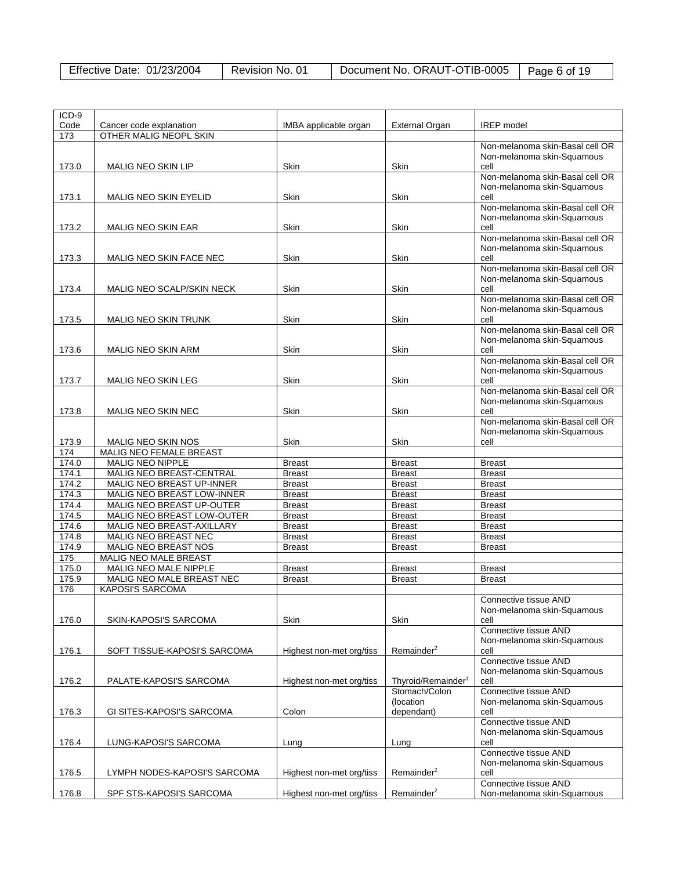| Effective Date: 01/23/2004 | Revision No. 01 | Document No. ORAUT-OTIB-0005 | Page 6 of 19 |
|----------------------------|-----------------|------------------------------|--------------|
|                            |                 |                              |              |

| ICD-9        |                                                      |                          |                                |                                 |
|--------------|------------------------------------------------------|--------------------------|--------------------------------|---------------------------------|
| Code         | Cancer code explanation                              | IMBA applicable organ    | External Organ                 | <b>IREP</b> model               |
| 173          | OTHER MALIG NEOPL SKIN                               |                          |                                |                                 |
|              |                                                      |                          |                                | Non-melanoma skin-Basal cell OR |
|              |                                                      |                          |                                | Non-melanoma skin-Squamous      |
| 173.0        | <b>MALIG NEO SKIN LIP</b>                            | Skin                     | Skin                           | cell                            |
|              |                                                      |                          |                                | Non-melanoma skin-Basal cell OR |
|              |                                                      |                          |                                | Non-melanoma skin-Squamous      |
| 173.1        | <b>MALIG NEO SKIN EYELID</b>                         | <b>Skin</b>              | Skin                           | cell                            |
|              |                                                      |                          |                                | Non-melanoma skin-Basal cell OR |
|              |                                                      |                          |                                | Non-melanoma skin-Squamous      |
| 173.2        | MALIG NEO SKIN EAR                                   | Skin                     | Skin                           | cell                            |
|              |                                                      |                          |                                | Non-melanoma skin-Basal cell OR |
|              |                                                      |                          |                                | Non-melanoma skin-Squamous      |
| 173.3        | MALIG NEO SKIN FACE NEC                              | Skin                     | Skin                           | cell                            |
|              |                                                      |                          |                                | Non-melanoma skin-Basal cell OR |
|              |                                                      |                          |                                | Non-melanoma skin-Squamous      |
| 173.4        | MALIG NEO SCALP/SKIN NECK                            | Skin                     | Skin                           | cell                            |
|              |                                                      |                          |                                | Non-melanoma skin-Basal cell OR |
|              |                                                      |                          |                                | Non-melanoma skin-Squamous      |
| 173.5        | MALIG NEO SKIN TRUNK                                 | Skin                     | Skin                           | cell                            |
|              |                                                      |                          |                                | Non-melanoma skin-Basal cell OR |
|              |                                                      |                          |                                | Non-melanoma skin-Squamous      |
| 173.6        | <b>MALIG NEO SKIN ARM</b>                            | Skin                     | Skin                           | cell                            |
|              |                                                      |                          |                                | Non-melanoma skin-Basal cell OR |
|              |                                                      |                          |                                |                                 |
|              |                                                      |                          |                                | Non-melanoma skin-Squamous      |
| 173.7        | MALIG NEO SKIN LEG                                   | Skin                     | Skin                           | cell                            |
|              |                                                      |                          |                                | Non-melanoma skin-Basal cell OR |
|              |                                                      |                          |                                | Non-melanoma skin-Squamous      |
| 173.8        | MALIG NEO SKIN NEC                                   | Skin                     | Skin                           | cell                            |
|              |                                                      |                          |                                | Non-melanoma skin-Basal cell OR |
|              |                                                      |                          |                                | Non-melanoma skin-Squamous      |
| 173.9        | <b>MALIG NEO SKIN NOS</b>                            | Skin                     | Skin                           | cell                            |
| 174          | MALIG NEO FEMALE BREAST                              |                          |                                |                                 |
| 174.0        | MALIG NEO NIPPLE                                     | <b>Breast</b>            | <b>Breast</b>                  | <b>Breast</b>                   |
| 174.1        | MALIG NEO BREAST-CENTRAL                             | <b>Breast</b>            | <b>Breast</b>                  | <b>Breast</b>                   |
| 174.2        | MALIG NEO BREAST UP-INNER                            | <b>Breast</b>            | <b>Breast</b>                  | <b>Breast</b>                   |
| 174.3        | MALIG NEO BREAST LOW-INNER                           | <b>Breast</b>            | <b>Breast</b>                  | <b>Breast</b>                   |
| 174.4        | MALIG NEO BREAST UP-OUTER                            | <b>Breast</b>            | <b>Breast</b>                  | <b>Breast</b>                   |
| 174.5        | MALIG NEO BREAST LOW-OUTER                           | <b>Breast</b>            | <b>Breast</b>                  | <b>Breast</b>                   |
| 174.6        | MALIG NEO BREAST-AXILLARY                            | <b>Breast</b>            | <b>Breast</b>                  | <b>Breast</b>                   |
| 174.8        | MALIG NEO BREAST NEC                                 | <b>Breast</b>            | <b>Breast</b>                  | <b>Breast</b>                   |
| 174.9        | MALIG NEO BREAST NOS                                 | <b>Breast</b>            | <b>Breast</b>                  | <b>Breast</b>                   |
| 175          | MALIG NEO MALE BREAST                                |                          |                                |                                 |
| 175.0        | MALIG NEO MALE NIPPLE                                | <b>Breast</b>            | <b>Breast</b>                  | <b>Breast</b>                   |
|              |                                                      |                          |                                |                                 |
| 175.9<br>176 | MALIG NEO MALE BREAST NEC<br><b>KAPOSI'S SARCOMA</b> | <b>Breast</b>            | <b>Breast</b>                  | <b>Breast</b>                   |
|              |                                                      |                          |                                |                                 |
|              |                                                      |                          |                                | Connective tissue AND           |
|              |                                                      |                          |                                | Non-melanoma skin-Squamous      |
| 176.0        | SKIN-KAPOSI'S SARCOMA                                | Skin                     | Skin                           | cell                            |
|              |                                                      |                          |                                | Connective tissue AND           |
|              |                                                      |                          |                                | Non-melanoma skin-Squamous      |
| 176.1        | SOFT TISSUE-KAPOSI'S SARCOMA                         | Highest non-met org/tiss | Remainder <sup>2</sup>         | cell                            |
|              |                                                      |                          |                                | Connective tissue AND           |
|              |                                                      |                          |                                | Non-melanoma skin-Squamous      |
| 176.2        | PALATE-KAPOSI'S SARCOMA                              | Highest non-met org/tiss | Thyroid/Remainder <sup>1</sup> | cell                            |
|              |                                                      |                          | Stomach/Colon                  | Connective tissue AND           |
|              |                                                      |                          | (location                      | Non-melanoma skin-Squamous      |
| 176.3        | GI SITES-KAPOSI'S SARCOMA                            | Colon                    | dependant)                     | cell                            |
|              |                                                      |                          |                                | Connective tissue AND           |
|              |                                                      |                          |                                | Non-melanoma skin-Squamous      |
| 176.4        | LUNG-KAPOSI'S SARCOMA                                | Lung                     | Lung                           | cell                            |
|              |                                                      |                          |                                | Connective tissue AND           |
|              |                                                      |                          |                                | Non-melanoma skin-Squamous      |
| 176.5        | LYMPH NODES-KAPOSI'S SARCOMA                         | Highest non-met org/tiss | Remainder <sup>2</sup>         | cell                            |
|              |                                                      |                          |                                | Connective tissue AND           |
| 176.8        | SPF STS-KAPOSI'S SARCOMA                             | Highest non-met org/tiss | Remainder <sup>2</sup>         | Non-melanoma skin-Squamous      |
|              |                                                      |                          |                                |                                 |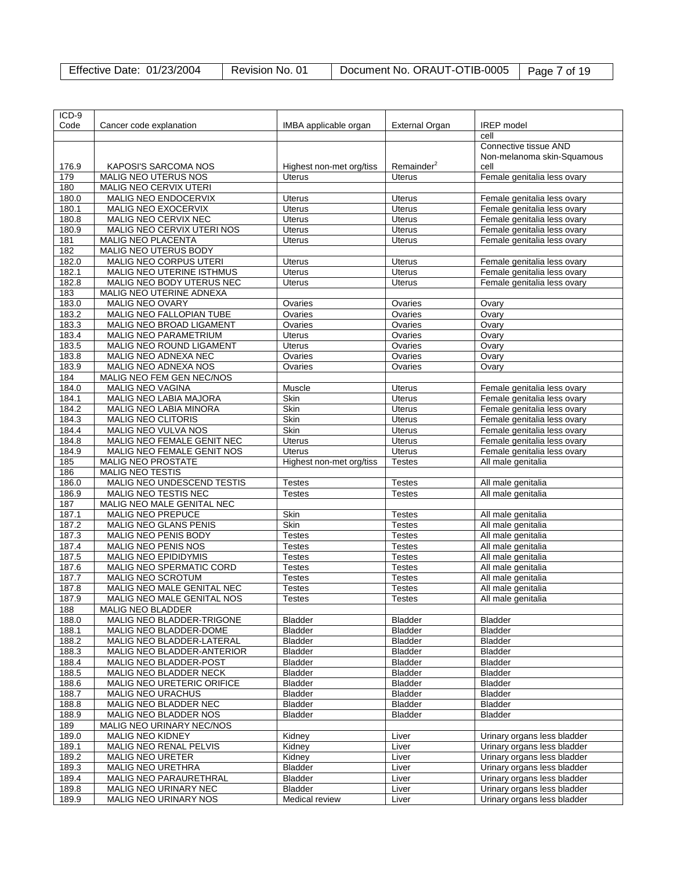| Effective Date: 01/23/2004 | Revision No. 01 | Document No. ORAUT-OTIB-0005   Page 7 of 19 |  |
|----------------------------|-----------------|---------------------------------------------|--|
|----------------------------|-----------------|---------------------------------------------|--|

| ICD-9 |                                   |                          |                        |                             |
|-------|-----------------------------------|--------------------------|------------------------|-----------------------------|
| Code  | Cancer code explanation           | IMBA applicable organ    | <b>External Organ</b>  | <b>IREP</b> model           |
|       |                                   |                          |                        | cell                        |
|       |                                   |                          |                        | Connective tissue AND       |
|       |                                   |                          |                        | Non-melanoma skin-Squamous  |
| 176.9 | <b>KAPOSI'S SARCOMA NOS</b>       | Highest non-met org/tiss | Remainder <sup>2</sup> | cell                        |
| 179   | MALIG NEO UTERUS NOS              | Uterus                   | <b>Uterus</b>          | Female genitalia less ovary |
|       |                                   |                          |                        |                             |
| 180   | MALIG NEO CERVIX UTERI            |                          |                        |                             |
| 180.0 | MALIG NEO ENDOCERVIX              | <b>Uterus</b>            | <b>Uterus</b>          | Female genitalia less ovary |
| 180.1 | MALIG NEO EXOCERVIX               | <b>Uterus</b>            | Uterus                 | Female genitalia less ovary |
| 180.8 | MALIG NEO CERVIX NEC              | <b>Uterus</b>            | <b>Uterus</b>          | Female genitalia less ovary |
| 180.9 | <b>MALIG NEO CERVIX UTERI NOS</b> | <b>Uterus</b>            | <b>Uterus</b>          | Female genitalia less ovary |
| 181   | MALIG NEO PLACENTA                | <b>Uterus</b>            | <b>Uterus</b>          | Female genitalia less ovary |
| 182   | MALIG NEO UTERUS BODY             |                          |                        |                             |
| 182.0 | MALIG NEO CORPUS UTERI            | <b>Uterus</b>            | Uterus                 | Female genitalia less ovary |
| 182.1 | MALIG NEO UTERINE ISTHMUS         | <b>Uterus</b>            | Uterus                 | Female genitalia less ovary |
| 182.8 | MALIG NEO BODY UTERUS NEC         | <b>Uterus</b>            | <b>Uterus</b>          | Female genitalia less ovary |
| 183   | MALIG NEO UTERINE ADNEXA          |                          |                        |                             |
| 183.0 | MALIG NEO OVARY                   | Ovaries                  | Ovaries                | Ovary                       |
| 183.2 | MALIG NEO FALLOPIAN TUBE          | Ovaries                  | Ovaries                | Ovary                       |
| 183.3 | MALIG NEO BROAD LIGAMENT          | Ovaries                  | Ovaries                | Ovary                       |
| 183.4 | <b>MALIG NEO PARAMETRIUM</b>      | <b>Uterus</b>            | Ovaries                | Ovary                       |
| 183.5 | MALIG NEO ROUND LIGAMENT          | <b>Uterus</b>            | Ovaries                | Ovary                       |
| 183.8 | MALIG NEO ADNEXA NEC              | Ovaries                  | Ovaries                | Ovary                       |
| 183.9 | MALIG NEO ADNEXA NOS              | Ovaries                  | Ovaries                | Ovary                       |
| 184   | MALIG NEO FEM GEN NEC/NOS         |                          |                        |                             |
| 184.0 | <b>MALIG NEO VAGINA</b>           | Muscle                   | <b>Uterus</b>          | Female genitalia less ovary |
| 184.1 | MALIG NEO LABIA MAJORA            | Skin                     | <b>Uterus</b>          | Female genitalia less ovary |
|       |                                   | Skin                     |                        |                             |
| 184.2 | MALIG NEO LABIA MINORA            |                          | <b>Uterus</b>          | Female genitalia less ovary |
| 184.3 | MALIG NEO CLITORIS                | Skin                     | Uterus                 | Female genitalia less ovary |
| 184.4 | MALIG NEO VULVA NOS               | Skin                     | Uterus                 | Female genitalia less ovary |
| 184.8 | MALIG NEO FEMALE GENIT NEC        | <b>Uterus</b>            | <b>Uterus</b>          | Female genitalia less ovary |
| 184.9 | MALIG NEO FEMALE GENIT NOS        | <b>Uterus</b>            | <b>Uterus</b>          | Female genitalia less ovary |
| 185   | <b>MALIG NEO PROSTATE</b>         | Highest non-met org/tiss | <b>Testes</b>          | All male genitalia          |
| 186   | <b>MALIG NEO TESTIS</b>           |                          |                        |                             |
| 186.0 | MALIG NEO UNDESCEND TESTIS        | Testes                   | <b>Testes</b>          | All male genitalia          |
| 186.9 | MALIG NEO TESTIS NEC              | Testes                   | <b>Testes</b>          | All male genitalia          |
| 187   | MALIG NEO MALE GENITAL NEC        |                          |                        |                             |
| 187.1 | MALIG NEO PREPUCE                 | Skin                     | <b>Testes</b>          | All male genitalia          |
| 187.2 | MALIG NEO GLANS PENIS             | Skin                     | <b>Testes</b>          | All male genitalia          |
| 187.3 | MALIG NEO PENIS BODY              | <b>Testes</b>            | <b>Testes</b>          | All male genitalia          |
| 187.4 | MALIG NEO PENIS NOS               | Testes                   | <b>Testes</b>          | All male genitalia          |
| 187.5 | <b>MALIG NEO EPIDIDYMIS</b>       | Testes                   | <b>Testes</b>          | All male genitalia          |
| 187.6 | MALIG NEO SPERMATIC CORD          | <b>Testes</b>            | <b>Testes</b>          | All male genitalia          |
| 187.7 | MALIG NEO SCROTUM                 | Testes                   | <b>Testes</b>          | All male genitalia          |
| 187.8 | MALIG NEO MALE GENITAL NEC        | <b>Testes</b>            | <b>Testes</b>          | All male genitalia          |
| 187.9 | MALIG NEO MALE GENITAL NOS        | <b>Testes</b>            | <b>Testes</b>          | All male genitalia          |
| 188   | MALIG NEO BLADDER                 |                          |                        |                             |
| 188.0 | MALIG NEO BLADDER-TRIGONE         | <b>Bladder</b>           | <b>Bladder</b>         | <b>Bladder</b>              |
| 188.1 | MALIG NEO BLADDER-DOME            | <b>Bladder</b>           | Bladder                | Bladder                     |
| 188.2 | MALIG NEO BLADDER-LATERAL         | <b>Bladder</b>           | <b>Bladder</b>         | <b>Bladder</b>              |
| 188.3 | MALIG NEO BLADDER-ANTERIOR        | <b>Bladder</b>           | <b>Bladder</b>         | <b>Bladder</b>              |
| 188.4 | MALIG NEO BLADDER-POST            | <b>Bladder</b>           | Bladder                | Bladder                     |
| 188.5 | MALIG NEO BLADDER NECK            | Bladder                  | Bladder                | Bladder                     |
| 188.6 | MALIG NEO URETERIC ORIFICE        | Bladder                  | Bladder                | Bladder                     |
| 188.7 | <b>MALIG NEO URACHUS</b>          | <b>Bladder</b>           | <b>Bladder</b>         | <b>Bladder</b>              |
| 188.8 | MALIG NEO BLADDER NEC             | <b>Bladder</b>           | <b>Bladder</b>         | <b>Bladder</b>              |
|       |                                   |                          |                        |                             |
| 188.9 | MALIG NEO BLADDER NOS             | Bladder                  | Bladder                | Bladder                     |
| 189   | MALIG NEO URINARY NEC/NOS         |                          |                        |                             |
| 189.0 | MALIG NEO KIDNEY                  | Kidney                   | Liver                  | Urinary organs less bladder |
| 189.1 | MALIG NEO RENAL PELVIS            | Kidney                   | Liver                  | Urinary organs less bladder |
| 189.2 | <b>MALIG NEO URETER</b>           | Kidney                   | Liver                  | Urinary organs less bladder |
| 189.3 | MALIG NEO URETHRA                 | Bladder                  | Liver                  | Urinary organs less bladder |
| 189.4 | MALIG NEO PARAURETHRAL            | <b>Bladder</b>           | Liver                  | Urinary organs less bladder |
| 189.8 | MALIG NEO URINARY NEC             | Bladder                  | Liver                  | Urinary organs less bladder |
| 189.9 | MALIG NEO URINARY NOS             | Medical review           | Liver                  | Urinary organs less bladder |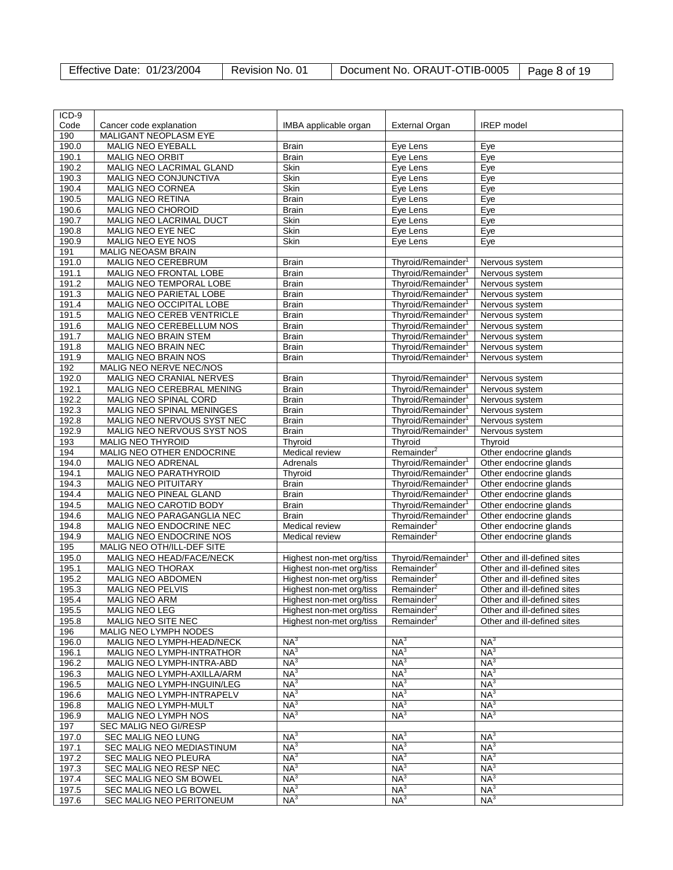| Effective Date: 01/23/2004 | Revision No. 01 | Document No. ORAUT-OTIB-0005   Page 8 of 19 |  |
|----------------------------|-----------------|---------------------------------------------|--|
|----------------------------|-----------------|---------------------------------------------|--|

| ICD-9          |                                             |                              |                                                                  |                                  |
|----------------|---------------------------------------------|------------------------------|------------------------------------------------------------------|----------------------------------|
| Code           | Cancer code explanation                     | IMBA applicable organ        | <b>External Organ</b>                                            | <b>IREP</b> model                |
| 190            | MALIGANT NEOPLASM EYE                       |                              |                                                                  |                                  |
| 190.0          | MALIG NEO EYEBALL                           | <b>Brain</b>                 | Eye Lens                                                         | Eye                              |
| 190.1          | MALIG NEO ORBIT                             | <b>Brain</b>                 | Eye Lens                                                         | Eye                              |
| 190.2          | MALIG NEO LACRIMAL GLAND                    | Skin                         | Eye Lens                                                         | Eye                              |
| 190.3          | MALIG NEO CONJUNCTIVA                       | Skin                         | Eye Lens                                                         | Eye                              |
| 190.4          | MALIG NEO CORNEA                            | Skin                         | Eye Lens                                                         | Eye                              |
| 190.5          | MALIG NEO RETINA                            | <b>Brain</b>                 | Eye Lens                                                         | Eye                              |
| 190.6          | MALIG NEO CHOROID                           | <b>Brain</b>                 | Eye Lens                                                         | Eye                              |
| 190.7          | MALIG NEO LACRIMAL DUCT                     | Skin                         | Eye Lens                                                         | Eye                              |
| 190.8          | MALIG NEO EYE NEC                           | Skin                         | Eye Lens                                                         | Eye                              |
| 190.9          | MALIG NEO EYE NOS                           | Skin                         | Eye Lens                                                         | Eye                              |
| 191            | <b>MALIG NEOASM BRAIN</b>                   |                              |                                                                  |                                  |
| 191.0          | MALIG NEO CEREBRUM                          | <b>Brain</b>                 | Thyroid/Remainder <sup>1</sup>                                   | Nervous system                   |
| 191.1          | MALIG NEO FRONTAL LOBE                      | <b>Brain</b>                 | Thyroid/Remainder <sup>1</sup>                                   | Nervous system                   |
| 191.2          | MALIG NEO TEMPORAL LOBE                     | <b>Brain</b>                 | Thyroid/Remainder <sup>1</sup>                                   | Nervous system                   |
| 191.3          | MALIG NEO PARIETAL LOBE                     | <b>Brain</b>                 | Thyroid/Remainder <sup>1</sup>                                   | Nervous system                   |
| 191.4          | MALIG NEO OCCIPITAL LOBE                    | <b>Brain</b>                 | Thyroid/Remainder <sup>1</sup>                                   | Nervous system                   |
| 191.5          | MALIG NEO CEREB VENTRICLE                   | <b>Brain</b>                 | Thyroid/Remainder <sup>1</sup>                                   | Nervous system                   |
| 191.6          | MALIG NEO CEREBELLUM NOS                    | <b>Brain</b>                 | Thyroid/Remainder <sup>1</sup>                                   | Nervous system                   |
|                |                                             |                              |                                                                  |                                  |
| 191.7<br>191.8 | MALIG NEO BRAIN STEM<br>MALIG NEO BRAIN NEC | <b>Brain</b><br><b>Brain</b> | Thyroid/Remainder <sup>1</sup><br>Thyroid/Remainder <sup>1</sup> | Nervous system<br>Nervous system |
|                |                                             |                              |                                                                  |                                  |
| 191.9          | MALIG NEO BRAIN NOS                         | Brain                        | Thyroid/Remainder <sup>1</sup>                                   | Nervous system                   |
| 192            | MALIG NEO NERVE NEC/NOS                     |                              |                                                                  |                                  |
| 192.0          | MALIG NEO CRANIAL NERVES                    | <b>Brain</b>                 | Thyroid/Remainder <sup>1</sup>                                   | Nervous system                   |
| 192.1          | MALIG NEO CEREBRAL MENING                   | <b>Brain</b>                 | Thyroid/Remainder <sup>1</sup>                                   | Nervous system                   |
| 192.2          | MALIG NEO SPINAL CORD                       | <b>Brain</b>                 | Thyroid/Remainder <sup>1</sup>                                   | Nervous system                   |
| 192.3          | MALIG NEO SPINAL MENINGES                   | <b>Brain</b>                 | Thyroid/Remainder <sup>1</sup>                                   | Nervous system                   |
| 192.8          | MALIG NEO NERVOUS SYST NEC                  | <b>Brain</b>                 | Thyroid/Remainder <sup>1</sup>                                   | Nervous system                   |
| 192.9          | MALIG NEO NERVOUS SYST NOS                  | <b>Brain</b>                 | Thyroid/Remainder <sup>1</sup>                                   | Nervous system                   |
| 193            | MALIG NEO THYROID                           | Thyroid                      | Thyroid                                                          | Thyroid                          |
| 194            | MALIG NEO OTHER ENDOCRINE                   | Medical review               | Remainder <sup>2</sup>                                           | Other endocrine glands           |
| 194.0          | MALIG NEO ADRENAL                           | Adrenals                     | Thyroid/Remainder <sup>1</sup>                                   | Other endocrine glands           |
| 194.1          | MALIG NEO PARATHYROID                       | Thyroid                      | Thyroid/Remainder <sup>1</sup>                                   | Other endocrine glands           |
| 194.3          | MALIG NEO PITUITARY                         | <b>Brain</b>                 | Thyroid/Remainder <sup>1</sup>                                   | Other endocrine glands           |
| 194.4          | MALIG NEO PINEAL GLAND                      | <b>Brain</b>                 | Thyroid/Remainder <sup>1</sup>                                   | Other endocrine glands           |
| 194.5          | MALIG NEO CAROTID BODY                      | <b>Brain</b>                 | Thyroid/Remainder <sup>1</sup>                                   | Other endocrine glands           |
| 194.6          | MALIG NEO PARAGANGLIA NEC                   | <b>Brain</b>                 | Thyroid/Remainder <sup>1</sup>                                   | Other endocrine glands           |
| 194.8          | MALIG NEO ENDOCRINE NEC                     | Medical review               | Remainder <sup>2</sup>                                           | Other endocrine glands           |
| 194.9          | MALIG NEO ENDOCRINE NOS                     | Medical review               | Remainder <sup>2</sup>                                           | Other endocrine glands           |
| 195            | MALIG NEO OTH/ILL-DEF SITE                  |                              |                                                                  |                                  |
| 195.0          | MALIG NEO HEAD/FACE/NECK                    | Highest non-met org/tiss     | Thyroid/Remainder <sup>1</sup>                                   | Other and ill-defined sites      |
| 195.1          | MALIG NEO THORAX                            | Highest non-met org/tiss     | Remainder <sup>2</sup>                                           | Other and ill-defined sites      |
| 195.2          | MALIG NEO ABDOMEN                           | Highest non-met org/tiss     | Remainder <sup>2</sup>                                           | Other and ill-defined sites      |
| 195.3          | <b>MALIG NEO PELVIS</b>                     | Highest non-met org/tiss     | Remainder <sup>2</sup>                                           | Other and ill-defined sites      |
| 195.4          | <b>MALIG NEO ARM</b>                        | Highest non-met org/tiss     | Remainder <sup>2</sup>                                           | Other and ill-defined sites      |
| 195.5          | MALIG NEO LEG                               | Highest non-met org/tiss     | Remainder <sup>2</sup>                                           | Other and ill-defined sites      |
| 195.8          | MALIG NEO SITE NEC                          | Highest non-met org/tiss     | Remainder <sup>2</sup>                                           | Other and ill-defined sites      |
| 196            | MALIG NEO LYMPH NODES                       |                              |                                                                  |                                  |
| 196.0          | MALIG NEO LYMPH-HEAD/NECK                   | NA <sup>3</sup>              | NA <sup>3</sup>                                                  | NA <sup>3</sup>                  |
| 196.1          | MALIG NEO LYMPH-INTRATHOR                   | NA <sup>3</sup>              | NA <sup>3</sup>                                                  | NA <sup>3</sup>                  |
| 196.2          | MALIG NEO LYMPH-INTRA-ABD                   | NA <sup>3</sup>              | NA <sup>3</sup>                                                  | NA <sup>3</sup>                  |
| 196.3          | MALIG NEO LYMPH-AXILLA/ARM                  | NA <sup>3</sup>              | NA <sup>3</sup>                                                  | NA <sup>3</sup>                  |
| 196.5          | MALIG NEO LYMPH-INGUIN/LEG                  | NA <sup>3</sup>              | NA <sup>3</sup>                                                  | NA <sup>3</sup>                  |
| 196.6          | MALIG NEO LYMPH-INTRAPELV                   | NA <sup>3</sup>              | NA <sup>3</sup>                                                  | NA <sup>3</sup>                  |
| 196.8          | MALIG NEO LYMPH-MULT                        | NA <sup>3</sup>              | NA <sup>3</sup>                                                  | $NA^3$                           |
| 196.9          | MALIG NEO LYMPH NOS                         | NA <sup>3</sup>              | $NA^3$                                                           | NA <sup>3</sup>                  |
| 197            | SEC MALIG NEO GI/RESP                       |                              |                                                                  |                                  |
| 197.0          | SEC MALIG NEO LUNG                          | NA <sup>3</sup>              | NA <sup>3</sup>                                                  | NA <sup>3</sup>                  |
| 197.1          | SEC MALIG NEO MEDIASTINUM                   | NA <sup>3</sup>              | NA <sup>3</sup>                                                  | NA <sup>3</sup>                  |
|                |                                             | NA <sup>3</sup>              | NA <sup>3</sup>                                                  | NA <sup>3</sup>                  |
| 197.2          | SEC MALIG NEO PLEURA                        |                              |                                                                  | NA <sup>3</sup>                  |
| 197.3          | SEC MALIG NEO RESP NEC                      | NA <sup>3</sup>              | NA <sup>3</sup>                                                  |                                  |
| 197.4          | SEC MALIG NEO SM BOWEL                      | NA <sup>3</sup>              | NA <sup>3</sup>                                                  | NA <sup>3</sup>                  |
| 197.5          | SEC MALIG NEO LG BOWEL                      | NA <sup>3</sup>              | $NA^3$                                                           | NA <sup>3</sup>                  |
| 197.6          | SEC MALIG NEO PERITONEUM                    | NA <sup>3</sup>              | NA <sup>3</sup>                                                  | NA <sup>3</sup>                  |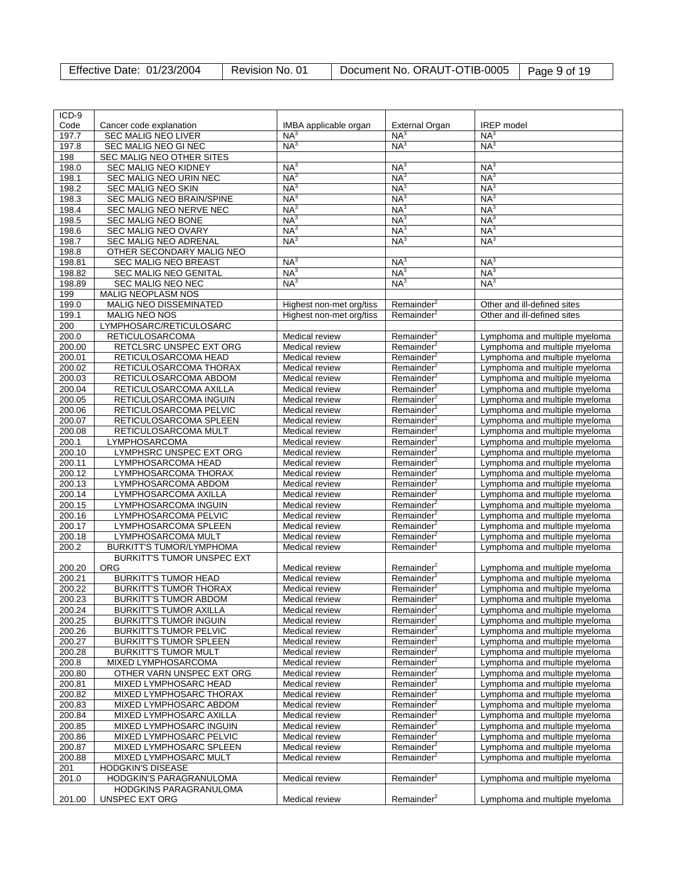| <b>Effective Date: 01/23/2004</b> | Revision No. 01 | Document No. ORAUT-OTIB-0005   Page 9 of 19 |  |
|-----------------------------------|-----------------|---------------------------------------------|--|
|-----------------------------------|-----------------|---------------------------------------------|--|

| ICD-9  |                                   |                          |                        |                               |
|--------|-----------------------------------|--------------------------|------------------------|-------------------------------|
| Code   | Cancer code explanation           | IMBA applicable organ    | <b>External Organ</b>  | <b>IREP</b> model             |
| 197.7  | SEC MALIG NEO LIVER               | NA <sup>3</sup>          | NA <sup>3</sup>        | NA <sup>3</sup>               |
| 197.8  | SEC MALIG NEO GI NEC              | NA <sup>3</sup>          | NA <sup>3</sup>        | NA <sup>3</sup>               |
|        |                                   |                          |                        |                               |
| 198    | <b>SEC MALIG NEO OTHER SITES</b>  |                          |                        |                               |
| 198.0  | <b>SEC MALIG NEO KIDNEY</b>       | NA <sup>3</sup>          | NA <sup>3</sup>        | NA <sup>3</sup>               |
| 198.1  | SEC MALIG NEO URIN NEC            | NA <sup>3</sup>          | NA <sup>3</sup>        | NA <sup>3</sup>               |
| 198.2  | <b>SEC MALIG NEO SKIN</b>         | NA <sup>3</sup>          | NA <sup>3</sup>        | NA <sup>3</sup>               |
| 198.3  | SEC MALIG NEO BRAIN/SPINE         | NA <sup>3</sup>          | NA <sup>3</sup>        | NA <sup>3</sup>               |
|        |                                   |                          |                        |                               |
| 198.4  | SEC MALIG NEO NERVE NEC           | NA <sup>3</sup>          | NA <sup>3</sup>        | NA <sup>3</sup>               |
| 198.5  | SEC MALIG NEO BONE                | NA <sup>3</sup>          | NA <sup>3</sup>        | NA <sup>3</sup>               |
| 198.6  | SEC MALIG NEO OVARY               | NA <sup>3</sup>          | NA <sup>3</sup>        | NA <sup>3</sup>               |
| 198.7  | <b>SEC MALIG NEO ADRENAL</b>      | NA <sup>3</sup>          | NA <sup>3</sup>        | NA <sup>3</sup>               |
| 198.8  | OTHER SECONDARY MALIG NEO         |                          |                        |                               |
|        |                                   |                          |                        |                               |
| 198.81 | SEC MALIG NEO BREAST              | NA <sup>3</sup>          | NA <sup>3</sup>        | NA <sup>3</sup>               |
| 198.82 | <b>SEC MALIG NEO GENITAL</b>      | NA <sup>3</sup>          | NA <sup>3</sup>        | NA <sup>3</sup>               |
| 198.89 | SEC MALIG NEO NEC                 | NA <sup>3</sup>          | NA <sup>3</sup>        | NA <sup>3</sup>               |
| 199    | MALIG NEOPLASM NOS                |                          |                        |                               |
| 199.0  | MALIG NEO DISSEMINATED            | Highest non-met org/tiss | Remainder <sup>2</sup> | Other and ill-defined sites   |
|        |                                   |                          |                        |                               |
| 199.1  | MALIG NEO NOS                     | Highest non-met org/tiss | Remainder <sup>2</sup> | Other and ill-defined sites   |
| 200    | LYMPHOSARC/RETICULOSARC           |                          |                        |                               |
| 200.0  | RETICULOSARCOMA                   | Medical review           | Remainder <sup>2</sup> | Lymphoma and multiple myeloma |
| 200.00 | RETCLSRC UNSPEC EXT ORG           | Medical review           | Remainder <sup>2</sup> | Lymphoma and multiple myeloma |
| 200.01 | RETICULOSARCOMA HEAD              | Medical review           | Remainder <sup>2</sup> | Lymphoma and multiple myeloma |
| 200.02 | RETICULOSARCOMA THORAX            | Medical review           | Remainder <sup>2</sup> | Lymphoma and multiple myeloma |
| 200.03 | RETICULOSARCOMA ABDOM             | Medical review           | Remainder <sup>2</sup> | Lymphoma and multiple myeloma |
|        |                                   |                          |                        |                               |
| 200.04 | RETICULOSARCOMA AXILLA            | Medical review           | Remainder <sup>2</sup> | Lymphoma and multiple myeloma |
| 200.05 | RETICULOSARCOMA INGUIN            | Medical review           | Remainder <sup>2</sup> | Lymphoma and multiple myeloma |
| 200.06 | RETICULOSARCOMA PELVIC            | Medical review           | Remainder <sup>2</sup> | Lymphoma and multiple myeloma |
| 200.07 | RETICULOSARCOMA SPLEEN            | Medical review           | Remainder <sup>2</sup> | Lymphoma and multiple myeloma |
| 200.08 | RETICULOSARCOMA MULT              | Medical review           | Remainder $2$          | Lymphoma and multiple myeloma |
| 200.1  | LYMPHOSARCOMA                     | Medical review           | Remainder <sup>2</sup> | Lymphoma and multiple myeloma |
| 200.10 | LYMPHSRC UNSPEC EXT ORG           | Medical review           | Remainder <sup>2</sup> |                               |
|        |                                   |                          |                        | Lymphoma and multiple myeloma |
| 200.11 | LYMPHOSARCOMA HEAD                | Medical review           | Remainder <sup>2</sup> | Lymphoma and multiple myeloma |
| 200.12 | LYMPHOSARCOMA THORAX              | Medical review           | Remainder <sup>2</sup> | Lymphoma and multiple myeloma |
| 200.13 | LYMPHOSARCOMA ABDOM               | Medical review           | Remainder $2$          | Lymphoma and multiple myeloma |
| 200.14 | LYMPHOSARCOMA AXILLA              | Medical review           | Remainder <sup>2</sup> | Lymphoma and multiple myeloma |
| 200.15 | LYMPHOSARCOMA INGUIN              | Medical review           | Remainder <sup>2</sup> | Lymphoma and multiple myeloma |
| 200.16 | LYMPHOSARCOMA PELVIC              | Medical review           | Remainder <sup>2</sup> | Lymphoma and multiple myeloma |
| 200.17 | LYMPHOSARCOMA SPLEEN              | Medical review           | Remainder <sup>2</sup> |                               |
|        |                                   |                          |                        | Lymphoma and multiple myeloma |
| 200.18 | LYMPHOSARCOMA MULT                | Medical review           | Remainder <sup>2</sup> | Lymphoma and multiple myeloma |
| 200.2  | <b>BURKITT'S TUMOR/LYMPHOMA</b>   | Medical review           | Remainder <sup>2</sup> | Lymphoma and multiple myeloma |
|        | <b>BURKITT'S TUMOR UNSPEC EXT</b> |                          |                        |                               |
| 200.20 | <b>ORG</b>                        | Medical review           | Remainder <sup>2</sup> | Lymphoma and multiple myeloma |
| 200.21 | <b>BURKITT'S TUMOR HEAD</b>       | Medical review           | Remainder <sup>2</sup> | Lymphoma and multiple myeloma |
| 200.22 | <b>BURKITT'S TUMOR THORAX</b>     | Medical review           | Remainder <sup>2</sup> | Lymphoma and multiple myeloma |
| 200.23 | <b>BURKITT'S TUMOR ABDOM</b>      | Medical review           | Remainder <sup>2</sup> | Lymphoma and multiple myeloma |
| 200.24 | <b>BURKITT'S TUMOR AXILLA</b>     | Medical review           | Remainder <sup>2</sup> |                               |
|        |                                   |                          |                        | Lymphoma and multiple myeloma |
| 200.25 | <b>BURKITT'S TUMOR INGUIN</b>     | Medical review           | Remainder <sup>2</sup> | Lymphoma and multiple myeloma |
| 200.26 | <b>BURKITT'S TUMOR PELVIC</b>     | Medical review           | Remainder <sup>2</sup> | Lymphoma and multiple myeloma |
| 200.27 | <b>BURKITT'S TUMOR SPLEEN</b>     | Medical review           | Remainder <sup>2</sup> | Lymphoma and multiple myeloma |
| 200.28 | <b>BURKITT'S TUMOR MULT</b>       | Medical review           | Remainder <sup>2</sup> | Lymphoma and multiple myeloma |
| 200.8  | MIXED LYMPHOSARCOMA               | Medical review           | Remainder <sup>2</sup> | Lymphoma and multiple myeloma |
| 200.80 | OTHER VARN UNSPEC EXT ORG         | Medical review           | Remainder <sup>2</sup> | Lymphoma and multiple myeloma |
| 200.81 | MIXED LYMPHOSARC HEAD             |                          | Remainder <sup>2</sup> |                               |
|        |                                   | Medical review           | Remainder <sup>2</sup> | Lymphoma and multiple myeloma |
| 200.82 | MIXED LYMPHOSARC THORAX           | Medical review           |                        | Lymphoma and multiple myeloma |
| 200.83 | MIXED LYMPHOSARC ABDOM            | Medical review           | Remainder <sup>2</sup> | Lymphoma and multiple myeloma |
| 200.84 | MIXED LYMPHOSARC AXILLA           | Medical review           | Remainder <sup>2</sup> | Lymphoma and multiple myeloma |
| 200.85 | MIXED LYMPHOSARC INGUIN           | Medical review           | Remainder <sup>2</sup> | Lymphoma and multiple myeloma |
| 200.86 | MIXED LYMPHOSARC PELVIC           | Medical review           | Remainder <sup>2</sup> | Lymphoma and multiple myeloma |
| 200.87 | MIXED LYMPHOSARC SPLEEN           | Medical review           | Remainder <sup>2</sup> | Lymphoma and multiple myeloma |
| 200.88 | MIXED LYMPHOSARC MULT             | Medical review           | Remainder <sup>2</sup> | Lymphoma and multiple myeloma |
|        |                                   |                          |                        |                               |
| 201    | <b>HODGKIN'S DISEASE</b>          |                          |                        |                               |
| 201.0  | HODGKIN'S PARAGRANULOMA           | Medical review           | Remainder <sup>2</sup> | Lymphoma and multiple myeloma |
|        | HODGKINS PARAGRANULOMA            |                          |                        |                               |
| 201.00 | UNSPEC EXT ORG                    | Medical review           | Remainder <sup>2</sup> | Lymphoma and multiple myeloma |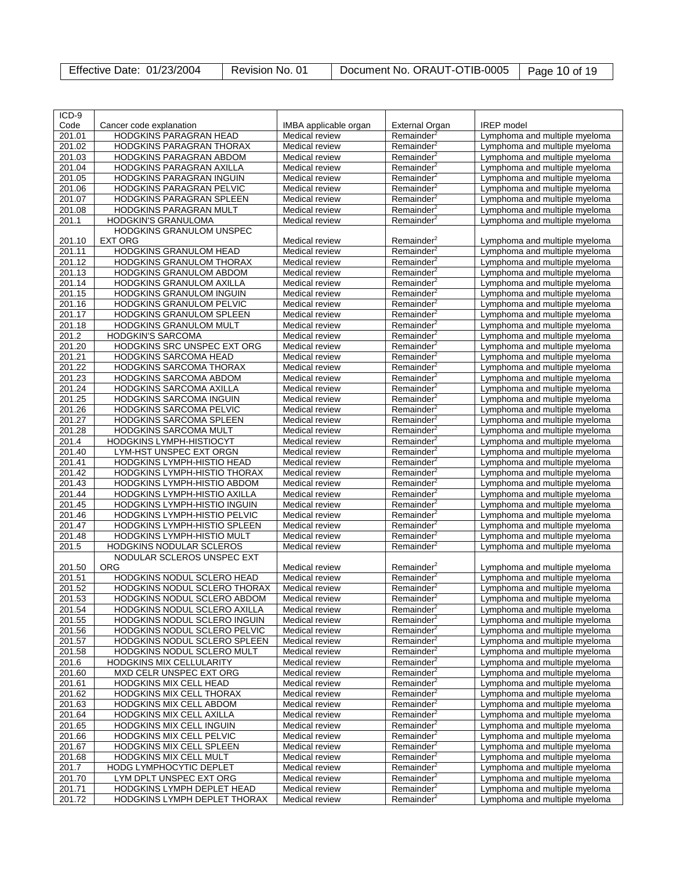| Effective Date: 01/23/2004 | Revision No. 01 | Document No. ORAUT-OTIB-0005   Page 10 of 19 |  |
|----------------------------|-----------------|----------------------------------------------|--|
|----------------------------|-----------------|----------------------------------------------|--|

| $ICD-9$ |                                 |                       |                           |                               |
|---------|---------------------------------|-----------------------|---------------------------|-------------------------------|
|         |                                 |                       |                           |                               |
| Code    | Cancer code explanation         | IMBA applicable organ | External Organ            | <b>IREP</b> model             |
| 201.01  | HODGKINS PARAGRAN HEAD          | Medical review        | Remainder <sup>2</sup>    | Lymphoma and multiple myeloma |
| 201.02  | HODGKINS PARAGRAN THORAX        | Medical review        | Remainder <sup>2</sup>    | Lymphoma and multiple myeloma |
| 201.03  | HODGKINS PARAGRAN ABDOM         | Medical review        | Remainder <sup>2</sup>    | Lymphoma and multiple myeloma |
| 201.04  | <b>HODGKINS PARAGRAN AXILLA</b> | Medical review        | Remainder <sup>2</sup>    | Lymphoma and multiple myeloma |
| 201.05  | HODGKINS PARAGRAN INGUIN        | Medical review        | Remainder <sup>2</sup>    | Lymphoma and multiple myeloma |
| 201.06  | HODGKINS PARAGRAN PELVIC        | Medical review        | Remainder <sup>2</sup>    | Lymphoma and multiple myeloma |
| 201.07  | HODGKINS PARAGRAN SPLEEN        | Medical review        | Remainder <sup>2</sup>    | Lymphoma and multiple myeloma |
| 201.08  | HODGKINS PARAGRAN MULT          | Medical review        | Remainder <sup>2</sup>    | Lymphoma and multiple myeloma |
| 201.1   | <b>HODGKIN'S GRANULOMA</b>      | Medical review        | Remainder <sup>2</sup>    | Lymphoma and multiple myeloma |
|         | HODGKINS GRANULOM UNSPEC        |                       |                           |                               |
| 201.10  | <b>EXT ORG</b>                  | Medical review        | Remainder <sup>2</sup>    | Lymphoma and multiple myeloma |
| 201.11  | <b>HODGKINS GRANULOM HEAD</b>   | Medical review        | Remainder <sup>2</sup>    | Lymphoma and multiple myeloma |
| 201.12  | HODGKINS GRANULOM THORAX        | Medical review        | Remainder <sup>2</sup>    | Lymphoma and multiple myeloma |
| 201.13  | HODGKINS GRANULOM ABDOM         | Medical review        | Remainder <sup>2</sup>    | Lymphoma and multiple myeloma |
| 201.14  | HODGKINS GRANULOM AXILLA        | Medical review        | Remainder <sup>4</sup>    | Lymphoma and multiple myeloma |
| 201.15  | HODGKINS GRANULOM INGUIN        | Medical review        | Remainder <sup>2</sup>    | Lymphoma and multiple myeloma |
| 201.16  | <b>HODGKINS GRANULOM PELVIC</b> | Medical review        | Remainder <sup>2</sup>    | Lymphoma and multiple myeloma |
| 201.17  | HODGKINS GRANULOM SPLEEN        | Medical review        | Remainder <sup>2</sup>    | Lymphoma and multiple myeloma |
| 201.18  | HODGKINS GRANULOM MULT          | Medical review        | $R$ emainder <sup>2</sup> | Lymphoma and multiple myeloma |
| 201.2   | <b>HODGKIN'S SARCOMA</b>        | Medical review        | Remainder <sup>2</sup>    | Lymphoma and multiple myeloma |
| 201.20  | HODGKINS SRC UNSPEC EXT ORG     | Medical review        | Remainder <sup>2</sup>    | Lymphoma and multiple myeloma |
| 201.21  | <b>HODGKINS SARCOMA HEAD</b>    | Medical review        | Remainder <sup>2</sup>    | Lymphoma and multiple myeloma |
| 201.22  | HODGKINS SARCOMA THORAX         | Medical review        | Remainder <sup>2</sup>    | Lymphoma and multiple myeloma |
| 201.23  | HODGKINS SARCOMA ABDOM          | Medical review        | $R$ emainder <sup>2</sup> | Lymphoma and multiple myeloma |
| 201.24  | HODGKINS SARCOMA AXILLA         | Medical review        | Remainder <sup>4</sup>    | Lymphoma and multiple myeloma |
| 201.25  | HODGKINS SARCOMA INGUIN         | Medical review        | Remainder <sup>2</sup>    | Lymphoma and multiple myeloma |
| 201.26  | HODGKINS SARCOMA PELVIC         | Medical review        | Remainder <sup>2</sup>    | Lymphoma and multiple myeloma |
| 201.27  | HODGKINS SARCOMA SPLEEN         | Medical review        | Remainder <sup>2</sup>    | Lymphoma and multiple myeloma |
| 201.28  | HODGKINS SARCOMA MULT           | Medical review        | $R$ emainder <sup>2</sup> | Lymphoma and multiple myeloma |
| 201.4   | HODGKINS LYMPH-HISTIOCYT        | Medical review        | Remainder <sup>2</sup>    | Lymphoma and multiple myeloma |
| 201.40  | LYM-HST UNSPEC EXT ORGN         | Medical review        | Remainder <sup>2</sup>    | Lymphoma and multiple myeloma |
| 201.41  | HODGKINS LYMPH-HISTIO HEAD      | Medical review        | Remainder <sup>2</sup>    | Lymphoma and multiple myeloma |
| 201.42  | HODGKINS LYMPH-HISTIO THORAX    | Medical review        | Remainder <sup>2</sup>    | Lymphoma and multiple myeloma |
| 201.43  | HODGKINS LYMPH-HISTIO ABDOM     | Medical review        | $R$ emainder <sup>2</sup> | Lymphoma and multiple myeloma |
| 201.44  | HODGKINS LYMPH-HISTIO AXILLA    | Medical review        | Remainder <sup>4</sup>    | Lymphoma and multiple myeloma |
| 201.45  | HODGKINS LYMPH-HISTIO INGUIN    | Medical review        | Remainder <sup>2</sup>    | Lymphoma and multiple myeloma |
| 201.46  | HODGKINS LYMPH-HISTIO PELVIC    | Medical review        | Remainder <sup>2</sup>    | Lymphoma and multiple myeloma |
| 201.47  | HODGKINS LYMPH-HISTIO SPLEEN    | Medical review        | Remainder <sup>2</sup>    | Lymphoma and multiple myeloma |
| 201.48  | HODGKINS LYMPH-HISTIO MULT      | Medical review        | Remainder <sup>2</sup>    | Lymphoma and multiple myeloma |
| 201.5   | <b>HODGKINS NODULAR SCLEROS</b> | Medical review        | Remainder <sup>2</sup>    | Lymphoma and multiple myeloma |
|         | NODULAR SCLEROS UNSPEC EXT      |                       |                           |                               |
| 201.50  | <b>ORG</b>                      | Medical review        | Remainder <sup>2</sup>    | Lymphoma and multiple myeloma |
| 201.51  | HODGKINS NODUL SCLERO HEAD      | Medical review        | Remainder <sup>2</sup>    | Lymphoma and multiple myeloma |
| 201.52  | HODGKINS NODUL SCLERO THORAX    | Medical review        | Remainder <sup>2</sup>    | Lymphoma and multiple myeloma |
| 201.53  | HODGKINS NODUL SCLERO ABDOM     | Medical review        | Remainder                 | Lympnoma and multiple myeloma |
| 201.54  | HODGKINS NODUL SCLERO AXILLA    | Medical review        | Remainder <sup>2</sup>    | Lymphoma and multiple myeloma |
| 201.55  | HODGKINS NODUL SCLERO INGUIN    | Medical review        | Remainder <sup>2</sup>    | Lymphoma and multiple myeloma |
| 201.56  | HODGKINS NODUL SCLERO PELVIC    | Medical review        | Remainder <sup>2</sup>    | Lymphoma and multiple myeloma |
| 201.57  | HODGKINS NODUL SCLERO SPLEEN    | Medical review        | Remainder <sup>2</sup>    | Lymphoma and multiple myeloma |
| 201.58  | HODGKINS NODUL SCLERO MULT      | Medical review        | Remainder <sup>2</sup>    | Lymphoma and multiple myeloma |
| 201.6   | HODGKINS MIX CELLULARITY        | Medical review        | Remainder <sup>2</sup>    | Lymphoma and multiple myeloma |
| 201.60  | MXD CELR UNSPEC EXT ORG         | Medical review        | Remainder <sup>2</sup>    | Lymphoma and multiple myeloma |
| 201.61  | HODGKINS MIX CELL HEAD          | Medical review        | Remainder <sup>2</sup>    | Lymphoma and multiple myeloma |
| 201.62  | HODGKINS MIX CELL THORAX        | Medical review        | Remainder <sup>2</sup>    | Lymphoma and multiple myeloma |
| 201.63  | <b>HODGKINS MIX CELL ABDOM</b>  | Medical review        | Remainder <sup>2</sup>    | Lymphoma and multiple myeloma |
| 201.64  | HODGKINS MIX CELL AXILLA        | Medical review        | $R$ emainder <sup>2</sup> | Lymphoma and multiple myeloma |
| 201.65  | HODGKINS MIX CELL INGUIN        | Medical review        | Remainder <sup>2</sup>    | Lymphoma and multiple myeloma |
| 201.66  | HODGKINS MIX CELL PELVIC        | Medical review        | Remainder <sup>2</sup>    | Lymphoma and multiple myeloma |
| 201.67  | HODGKINS MIX CELL SPLEEN        | Medical review        | Remainder <sup>2</sup>    | Lymphoma and multiple myeloma |
| 201.68  | <b>HODGKINS MIX CELL MULT</b>   | Medical review        | Remainder <sup>2</sup>    | Lymphoma and multiple myeloma |
| 201.7   | HODG LYMPHOCYTIC DEPLET         | Medical review        | $R$ emainder <sup>2</sup> | Lymphoma and multiple myeloma |
| 201.70  | LYM DPLT UNSPEC EXT ORG         | Medical review        | Remainder <sup>2</sup>    | Lymphoma and multiple myeloma |
| 201.71  | HODGKINS LYMPH DEPLET HEAD      | Medical review        | Remainder <sup>2</sup>    | Lymphoma and multiple myeloma |
| 201.72  | HODGKINS LYMPH DEPLET THORAX    | Medical review        | Remainder <sup>2</sup>    | Lymphoma and multiple myeloma |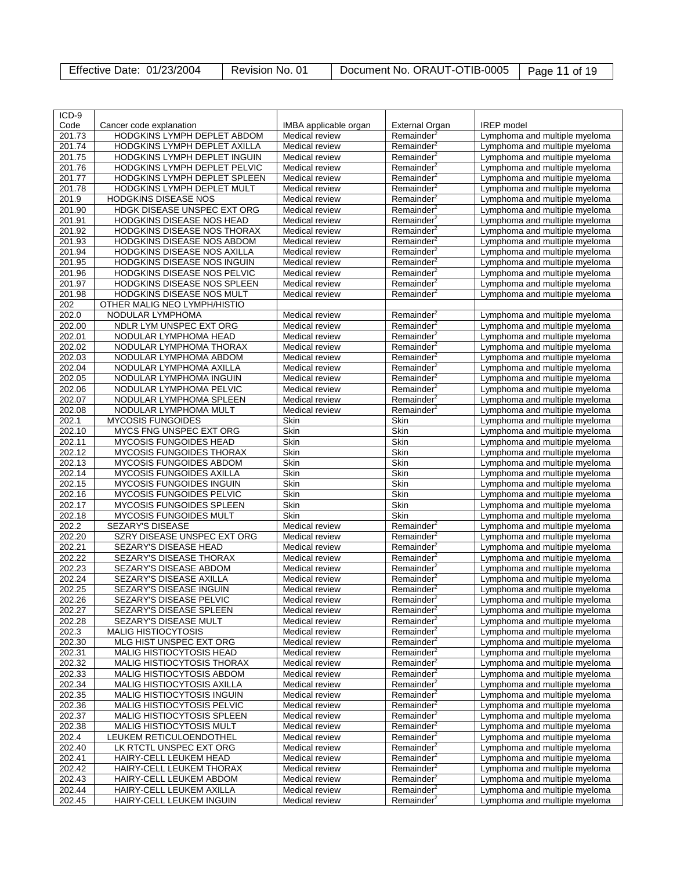| Effective Date: 01/23/2004 | Revision No. 01 | Document No. ORAUT-OTIB-0005   Page 11 of 19 |  |
|----------------------------|-----------------|----------------------------------------------|--|
|----------------------------|-----------------|----------------------------------------------|--|

| ICD-9  |                                                              |                                  |                        |                               |
|--------|--------------------------------------------------------------|----------------------------------|------------------------|-------------------------------|
| Code   | Cancer code explanation                                      | IMBA applicable organ            | <b>External Organ</b>  | <b>IREP</b> model             |
| 201.73 | HODGKINS LYMPH DEPLET ABDOM                                  | Medical review                   | Remainder <sup>2</sup> | Lymphoma and multiple myeloma |
|        |                                                              |                                  |                        |                               |
| 201.74 | HODGKINS LYMPH DEPLET AXILLA<br>HODGKINS LYMPH DEPLET INGUIN | Medical review<br>Medical review | Remainder <sup>2</sup> | Lymphoma and multiple myeloma |
| 201.75 |                                                              |                                  | Remainder <sup>2</sup> | Lymphoma and multiple myeloma |
| 201.76 | HODGKINS LYMPH DEPLET PELVIC                                 | Medical review                   | Remainder <sup>2</sup> | Lymphoma and multiple myeloma |
| 201.77 | HODGKINS LYMPH DEPLET SPLEEN                                 | Medical review                   | Remainder <sup>2</sup> | Lymphoma and multiple myeloma |
| 201.78 | HODGKINS LYMPH DEPLET MULT                                   | Medical review                   | Remainder <sup>2</sup> | Lymphoma and multiple myeloma |
| 201.9  | <b>HODGKINS DISEASE NOS</b>                                  | Medical review                   | Remainder <sup>2</sup> | Lymphoma and multiple myeloma |
| 201.90 | <b>HDGK DISEASE UNSPEC EXT ORG</b>                           | Medical review                   | Remainder <sup>2</sup> | Lymphoma and multiple myeloma |
| 201.91 | HODGKINS DISEASE NOS HEAD                                    | Medical review                   | Remainder <sup>2</sup> | Lymphoma and multiple myeloma |
| 201.92 | HODGKINS DISEASE NOS THORAX                                  | Medical review                   | Remainder <sup>2</sup> | Lymphoma and multiple myeloma |
| 201.93 | <b>HODGKINS DISEASE NOS ABDOM</b>                            | Medical review                   | Remainder <sup>2</sup> | Lymphoma and multiple myeloma |
| 201.94 | HODGKINS DISEASE NOS AXILLA                                  | <b>Medical review</b>            | Remainder <sup>2</sup> | Lymphoma and multiple myeloma |
| 201.95 | HODGKINS DISEASE NOS INGUIN                                  | Medical review                   | Remainder <sup>2</sup> | Lymphoma and multiple myeloma |
| 201.96 | HODGKINS DISEASE NOS PELVIC                                  | Medical review                   | Remainder <sup>2</sup> | Lymphoma and multiple myeloma |
| 201.97 | HODGKINS DISEASE NOS SPLEEN                                  | Medical review                   | Remainder <sup>2</sup> | Lymphoma and multiple myeloma |
| 201.98 | HODGKINS DISEASE NOS MULT                                    | Medical review                   | Remainder <sup>2</sup> | Lymphoma and multiple myeloma |
| 202    | OTHER MALIG NEO LYMPH/HISTIO                                 |                                  |                        |                               |
| 202.0  | NODULAR LYMPHOMA                                             | Medical review                   | Remainder <sup>2</sup> | Lymphoma and multiple myeloma |
| 202.00 | NDLR LYM UNSPEC EXT ORG                                      | Medical review                   | Remainder <sup>2</sup> | Lymphoma and multiple myeloma |
| 202.01 | NODULAR LYMPHOMA HEAD                                        | Medical review                   | Remainder <sup>2</sup> | Lymphoma and multiple myeloma |
| 202.02 | NODULAR LYMPHOMA THORAX                                      | Medical review                   | Remainder <sup>2</sup> | Lymphoma and multiple myeloma |
| 202.03 | NODULAR LYMPHOMA ABDOM                                       | Medical review                   | Remainder <sup>2</sup> | Lymphoma and multiple myeloma |
| 202.04 | NODULAR LYMPHOMA AXILLA                                      | Medical review                   | Remainder <sup>2</sup> | Lymphoma and multiple myeloma |
| 202.05 | NODULAR LYMPHOMA INGUIN                                      | Medical review                   | Remainder <sup>2</sup> | Lymphoma and multiple myeloma |
| 202.06 | NODULAR LYMPHOMA PELVIC                                      | Medical review                   | Remainder <sup>2</sup> | Lymphoma and multiple myeloma |
| 202.07 | NODULAR LYMPHOMA SPLEEN                                      | Medical review                   | Remainder $2$          | Lymphoma and multiple myeloma |
| 202.08 | NODULAR LYMPHOMA MULT                                        | <b>Medical review</b>            | Remainder <sup>2</sup> | Lymphoma and multiple myeloma |
| 202.1  | <b>MYCOSIS FUNGOIDES</b>                                     | Skin                             | Skin                   | Lymphoma and multiple myeloma |
| 202.10 | MYCS FNG UNSPEC EXT ORG                                      | Skin                             | Skin                   | Lymphoma and multiple myeloma |
| 202.11 | <b>MYCOSIS FUNGOIDES HEAD</b>                                | Skin                             | Skin                   | Lymphoma and multiple myeloma |
| 202.12 | <b>MYCOSIS FUNGOIDES THORAX</b>                              | Skin                             | Skin                   | Lymphoma and multiple myeloma |
| 202.13 | <b>MYCOSIS FUNGOIDES ABDOM</b>                               | Skin                             | Skin                   | Lymphoma and multiple myeloma |
| 202.14 | MYCOSIS FUNGOIDES AXILLA                                     | Skin                             | Skin                   | Lymphoma and multiple myeloma |
| 202.15 | <b>MYCOSIS FUNGOIDES INGUIN</b>                              | Skin                             | Skin                   | Lymphoma and multiple myeloma |
| 202.16 | <b>MYCOSIS FUNGOIDES PELVIC</b>                              | Skin                             | Skin                   | Lymphoma and multiple myeloma |
| 202.17 | MYCOSIS FUNGOIDES SPLEEN                                     | Skin                             | Skin                   | Lymphoma and multiple myeloma |
| 202.18 | MYCOSIS FUNGOIDES MULT                                       | Skin                             | Skin                   | Lymphoma and multiple myeloma |
| 202.2  | <b>SEZARY'S DISEASE</b>                                      | Medical review                   | Remainder <sup>2</sup> | Lymphoma and multiple myeloma |
| 202.20 | SZRY DISEASE UNSPEC EXT ORG                                  | Medical review                   | Remainder <sup>2</sup> | Lymphoma and multiple myeloma |
| 202.21 | SEZARY'S DISEASE HEAD                                        | Medical review                   | Remainder <sup>2</sup> | Lymphoma and multiple myeloma |
| 202.22 | SEZARY'S DISEASE THORAX                                      | Medical review                   | Remainder <sup>2</sup> | Lymphoma and multiple myeloma |
| 202.23 | SEZARY'S DISEASE ABDOM                                       | Medical review                   | Remainder <sup>2</sup> | Lymphoma and multiple myeloma |
| 202.24 | SEZARY'S DISEASE AXILLA                                      | Medical review                   | Remainder <sup>2</sup> | Lymphoma and multiple myeloma |
| 202.25 | SEZARY'S DISEASE INGUIN                                      | <b>Medical review</b>            | Remainder <sup>2</sup> | Lymphoma and multiple myeloma |
| 202.26 | SEZARY'S DISEASE PELVIC                                      | Medical review                   | Remainder <sup>4</sup> | Lymphoma and multiple myeloma |
| 202.27 | SEZARY'S DISEASE SPLEEN                                      | Medical review                   | Remainder <sup>2</sup> | Lymphoma and multiple myeloma |
| 202.28 | SEZARY'S DISEASE MULT                                        | Medical review                   | Remainder <sup>2</sup> | Lymphoma and multiple myeloma |
| 202.3  | <b>MALIG HISTIOCYTOSIS</b>                                   | Medical review                   | Remainder <sup>2</sup> | Lymphoma and multiple myeloma |
| 202.30 | MLG HIST UNSPEC EXT ORG                                      | Medical review                   | Remainder <sup>2</sup> | Lymphoma and multiple myeloma |
| 202.31 | MALIG HISTIOCYTOSIS HEAD                                     | Medical review                   | Remainder <sup>2</sup> | Lymphoma and multiple myeloma |
| 202.32 | MALIG HISTIOCYTOSIS THORAX                                   | Medical review                   | Remainder <sup>2</sup> | Lymphoma and multiple myeloma |
| 202.33 | MALIG HISTIOCYTOSIS ABDOM                                    | Medical review                   | Remainder <sup>2</sup> | Lymphoma and multiple myeloma |
| 202.34 | MALIG HISTIOCYTOSIS AXILLA                                   | Medical review                   | Remainder <sup>2</sup> | Lymphoma and multiple myeloma |
| 202.35 | MALIG HISTIOCYTOSIS INGUIN                                   | Medical review                   | Remainder <sup>2</sup> | Lymphoma and multiple myeloma |
| 202.36 | MALIG HISTIOCYTOSIS PELVIC                                   | Medical review                   | Remainder <sup>2</sup> | Lymphoma and multiple myeloma |
| 202.37 | MALIG HISTIOCYTOSIS SPLEEN                                   | Medical review                   | Remainder <sup>2</sup> | Lymphoma and multiple myeloma |
| 202.38 | MALIG HISTIOCYTOSIS MULT                                     | Medical review                   | Remainder <sup>2</sup> | Lymphoma and multiple myeloma |
| 202.4  | LEUKEM RETICULOENDOTHEL                                      | Medical review                   | Remainder <sup>2</sup> | Lymphoma and multiple myeloma |
| 202.40 | LK RTCTL UNSPEC EXT ORG                                      | Medical review                   | Remainder <sup>2</sup> | Lymphoma and multiple myeloma |
| 202.41 | HAIRY-CELL LEUKEM HEAD                                       | Medical review                   | Remainder <sup>2</sup> | Lymphoma and multiple myeloma |
| 202.42 | HAIRY-CELL LEUKEM THORAX                                     | Medical review                   | Remainder <sup>2</sup> | Lymphoma and multiple myeloma |
| 202.43 | HAIRY-CELL LEUKEM ABDOM                                      | Medical review                   | Remainder <sup>2</sup> | Lymphoma and multiple myeloma |
| 202.44 | HAIRY-CELL LEUKEM AXILLA                                     | Medical review                   | Remainder <sup>2</sup> | Lymphoma and multiple myeloma |
| 202.45 | HAIRY-CELL LEUKEM INGUIN                                     | Medical review                   | Remainder <sup>2</sup> | Lymphoma and multiple myeloma |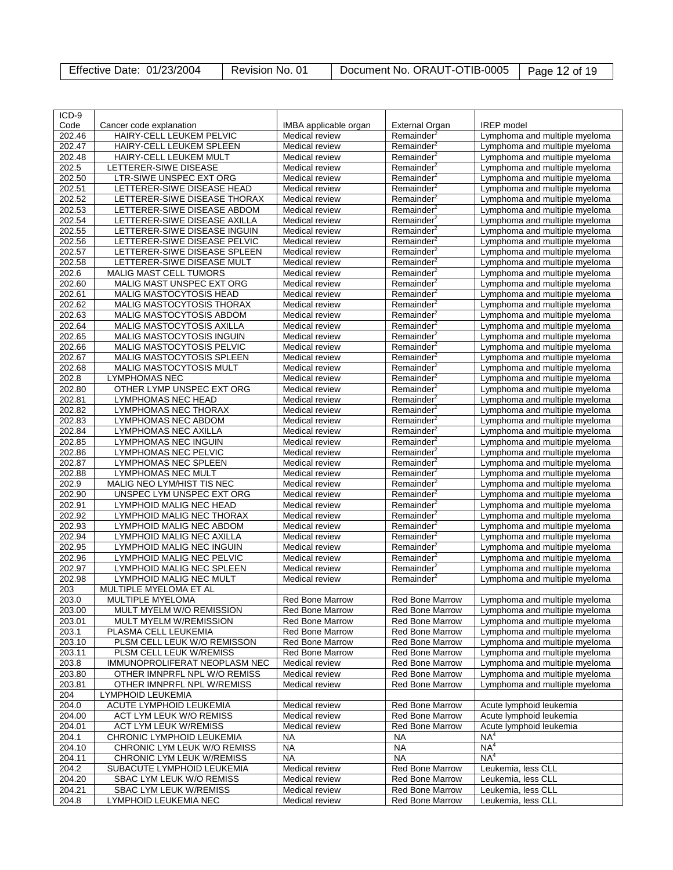| Effective Date: 01/23/2004 | Revision No. 01 | Document No. ORAUT-OTIB-0005   Page 12 of 19 |  |
|----------------------------|-----------------|----------------------------------------------|--|
|----------------------------|-----------------|----------------------------------------------|--|

| ICD-9  |                                  |                        |                        |                               |
|--------|----------------------------------|------------------------|------------------------|-------------------------------|
| Code   |                                  | IMBA applicable organ  |                        | <b>IREP</b> model             |
|        | Cancer code explanation          |                        | External Organ         |                               |
| 202.46 | HAIRY-CELL LEUKEM PELVIC         | Medical review         | Remainder <sup>2</sup> | Lymphoma and multiple myeloma |
| 202.47 | HAIRY-CELL LEUKEM SPLEEN         | Medical review         | Remainder <sup>2</sup> | Lymphoma and multiple myeloma |
| 202.48 | HAIRY-CELL LEUKEM MULT           | Medical review         | Remainder <sup>2</sup> | Lymphoma and multiple myeloma |
| 202.5  | LETTERER-SIWE DISEASE            | <b>Medical review</b>  | Remainder <sup>2</sup> | Lymphoma and multiple myeloma |
| 202.50 | LTR-SIWE UNSPEC EXT ORG          | Medical review         | Remainder <sup>2</sup> | Lymphoma and multiple myeloma |
| 202.51 | LETTERER-SIWE DISEASE HEAD       | Medical review         | Remainder <sup>2</sup> | Lymphoma and multiple myeloma |
| 202.52 | LETTERER-SIWE DISEASE THORAX     | Medical review         | Remainder <sup>2</sup> | Lymphoma and multiple myeloma |
|        |                                  |                        |                        |                               |
| 202.53 | LETTERER-SIWE DISEASE ABDOM      | Medical review         | Remainder <sup>2</sup> | Lymphoma and multiple myeloma |
| 202.54 | LETTERER-SIWE DISEASE AXILLA     | <b>Medical review</b>  | Remainder <sup>2</sup> | Lymphoma and multiple myeloma |
| 202.55 | LETTERER-SIWE DISEASE INGUIN     | Medical review         | Remainder <sup>2</sup> | Lymphoma and multiple myeloma |
| 202.56 | LETTERER-SIWE DISEASE PELVIC     | Medical review         | Remainder <sup>2</sup> | Lymphoma and multiple myeloma |
| 202.57 | LETTERER-SIWE DISEASE SPLEEN     | <b>Medical review</b>  | Remainder <sup>2</sup> | Lymphoma and multiple myeloma |
| 202.58 | LETTERER-SIWE DISEASE MULT       | Medical review         | Remainder <sup>2</sup> | Lymphoma and multiple myeloma |
| 202.6  | MALIG MAST CELL TUMORS           | <b>Medical review</b>  | Remainder <sup>2</sup> | Lymphoma and multiple myeloma |
| 202.60 | MALIG MAST UNSPEC EXT ORG        | Medical review         | Remainder <sup>2</sup> | Lymphoma and multiple myeloma |
|        |                                  |                        |                        |                               |
| 202.61 | MALIG MASTOCYTOSIS HEAD          | Medical review         | Remainder <sup>2</sup> | Lymphoma and multiple myeloma |
| 202.62 | MALIG MASTOCYTOSIS THORAX        | Medical review         | Remainder <sup>2</sup> | Lymphoma and multiple myeloma |
| 202.63 | MALIG MASTOCYTOSIS ABDOM         | Medical review         | Remainder <sup>2</sup> | Lymphoma and multiple myeloma |
| 202.64 | MALIG MASTOCYTOSIS AXILLA        | <b>Medical review</b>  | Remainder <sup>2</sup> | Lymphoma and multiple myeloma |
| 202.65 | MALIG MASTOCYTOSIS INGUIN        | Medical review         | Remainder <sup>2</sup> | Lymphoma and multiple myeloma |
| 202.66 | <b>MALIG MASTOCYTOSIS PELVIC</b> | Medical review         | Remainder <sup>2</sup> | Lymphoma and multiple myeloma |
| 202.67 | MALIG MASTOCYTOSIS SPLEEN        | Medical review         | Remainder <sup>2</sup> | Lymphoma and multiple myeloma |
| 202.68 | MALIG MASTOCYTOSIS MULT          | Medical review         | Remainder <sup>2</sup> | Lymphoma and multiple myeloma |
| 202.8  |                                  |                        |                        |                               |
|        | <b>LYMPHOMAS NEC</b>             | <b>Medical review</b>  | Remainder <sup>2</sup> | Lymphoma and multiple myeloma |
| 202.80 | OTHER LYMP UNSPEC EXT ORG        | Medical review         | Remainder <sup>2</sup> | Lymphoma and multiple myeloma |
| 202.81 | <b>LYMPHOMAS NEC HEAD</b>        | Medical review         | Remainder <sup>2</sup> | Lymphoma and multiple myeloma |
| 202.82 | LYMPHOMAS NEC THORAX             | Medical review         | Remainder <sup>2</sup> | Lymphoma and multiple myeloma |
| 202.83 | LYMPHOMAS NEC ABDOM              | Medical review         | Remainder <sup>2</sup> | Lymphoma and multiple myeloma |
| 202.84 | LYMPHOMAS NEC AXILLA             | <b>Medical review</b>  | Remainder <sup>2</sup> | Lymphoma and multiple myeloma |
| 202.85 | <b>LYMPHOMAS NEC INGUIN</b>      | Medical review         | Remainder <sup>2</sup> | Lymphoma and multiple myeloma |
| 202.86 | <b>LYMPHOMAS NEC PELVIC</b>      | Medical review         | Remainder <sup>2</sup> | Lymphoma and multiple myeloma |
| 202.87 | LYMPHOMAS NEC SPLEEN             | Medical review         | Remainder <sup>2</sup> | Lymphoma and multiple myeloma |
|        |                                  |                        |                        |                               |
| 202.88 | <b>LYMPHOMAS NEC MULT</b>        | Medical review         | Remainder <sup>2</sup> | Lymphoma and multiple myeloma |
| 202.9  | MALIG NEO LYM/HIST TIS NEC       | Medical review         | Remainder <sup>2</sup> | Lymphoma and multiple myeloma |
| 202.90 | UNSPEC LYM UNSPEC EXT ORG        | Medical review         | Remainder <sup>2</sup> | Lymphoma and multiple myeloma |
| 202.91 | LYMPHOID MALIG NEC HEAD          | Medical review         | Remainder <sup>2</sup> | Lymphoma and multiple myeloma |
| 202.92 | LYMPHOID MALIG NEC THORAX        | Medical review         | Remainder <sup>2</sup> | Lymphoma and multiple myeloma |
| 202.93 | LYMPHOID MALIG NEC ABDOM         | Medical review         | Remainder <sup>2</sup> | Lymphoma and multiple myeloma |
| 202.94 | LYMPHOID MALIG NEC AXILLA        | Medical review         | Remainder <sup>2</sup> | Lymphoma and multiple myeloma |
| 202.95 | LYMPHOID MALIG NEC INGUIN        | Medical review         | Remainder <sup>2</sup> | Lymphoma and multiple myeloma |
| 202.96 | LYMPHOID MALIG NEC PELVIC        |                        |                        |                               |
|        |                                  | Medical review         | Remainder <sup>2</sup> | Lymphoma and multiple myeloma |
| 202.97 | LYMPHOID MALIG NEC SPLEEN        | Medical review         | Remainder <sup>2</sup> | Lymphoma and multiple myeloma |
| 202.98 | LYMPHOID MALIG NEC MULT          | Medical review         | Remainder <sup>2</sup> | Lymphoma and multiple myeloma |
| 203    | MULTIPLE MYELOMA ET AL           |                        |                        |                               |
| 203.0  | MULTIPLE MYELOMA                 | Red Bone Marrow        | Red Bone Marrow        | Lymphoma and multiple myeloma |
| 203.00 | MULT MYELM W/O REMISSION         | <b>Red Bone Marrow</b> | <b>Red Bone Marrow</b> | Lymphoma and multiple myeloma |
| 203.01 | MULT MYELM W/REMISSION           | <b>Red Bone Marrow</b> | <b>Red Bone Marrow</b> | Lymphoma and multiple myeloma |
| 203.1  | PLASMA CELL LEUKEMIA             | <b>Red Bone Marrow</b> | <b>Red Bone Marrow</b> | Lymphoma and multiple myeloma |
| 203.10 | PLSM CELL LEUK W/O REMISSON      | <b>Red Bone Marrow</b> | <b>Red Bone Marrow</b> | Lymphoma and multiple myeloma |
|        |                                  | Red Bone Marrow        |                        |                               |
| 203.11 | PLSM CELL LEUK W/REMISS          |                        | <b>Red Bone Marrow</b> | Lymphoma and multiple myeloma |
| 203.8  | IMMUNOPROLIFERAT NEOPLASM NEC    | Medical review         | Red Bone Marrow        | Lymphoma and multiple myeloma |
| 203.80 | OTHER IMNPRFL NPL W/O REMISS     | Medical review         | <b>Red Bone Marrow</b> | Lymphoma and multiple myeloma |
| 203.81 | OTHER IMNPRFL NPL W/REMISS       | Medical review         | <b>Red Bone Marrow</b> | Lymphoma and multiple myeloma |
| 204    | LYMPHOID LEUKEMIA                |                        |                        |                               |
| 204.0  | ACUTE LYMPHOID LEUKEMIA          | Medical review         | Red Bone Marrow        | Acute lymphoid leukemia       |
| 204.00 | ACT LYM LEUK W/O REMISS          | Medical review         | Red Bone Marrow        | Acute lymphoid leukemia       |
| 204.01 | ACT LYM LEUK W/REMISS            | Medical review         | <b>Red Bone Marrow</b> | Acute lymphoid leukemia       |
| 204.1  | CHRONIC LYMPHOID LEUKEMIA        | <b>NA</b>              | NA                     | NA <sup>4</sup>               |
| 204.10 | CHRONIC LYM LEUK W/O REMISS      | <b>NA</b>              | <b>NA</b>              | NA <sup>4</sup>               |
|        |                                  |                        |                        |                               |
| 204.11 | CHRONIC LYM LEUK W/REMISS        | <b>NA</b>              | <b>NA</b>              | NA <sup>4</sup>               |
| 204.2  | SUBACUTE LYMPHOID LEUKEMIA       | Medical review         | Red Bone Marrow        | Leukemia, less CLL            |
| 204.20 | SBAC LYM LEUK W/O REMISS         | Medical review         | <b>Red Bone Marrow</b> | Leukemia, less CLL            |
| 204.21 | <b>SBAC LYM LEUK W/REMISS</b>    | Medical review         | <b>Red Bone Marrow</b> | Leukemia, less CLL            |
| 204.8  | LYMPHOID LEUKEMIA NEC            | Medical review         | Red Bone Marrow        | Leukemia, less CLL            |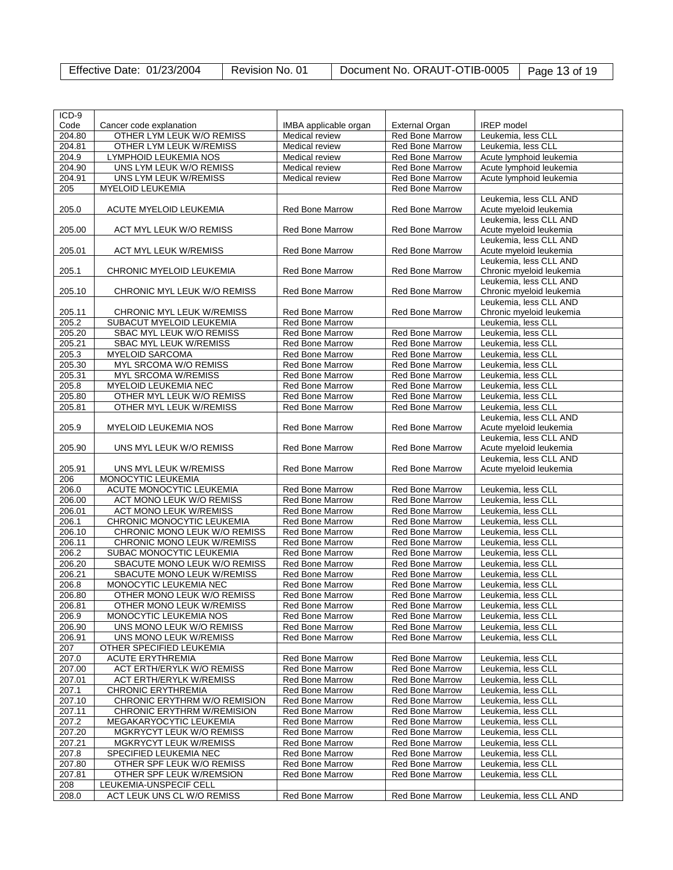| Effective Date: 01/23/2004 | Revision No. 01 | Document No. ORAUT-OTIB-0005   Page 13 of 19 |  |
|----------------------------|-----------------|----------------------------------------------|--|
|----------------------------|-----------------|----------------------------------------------|--|

| ICD-9              |                                   |                        |                        |                          |
|--------------------|-----------------------------------|------------------------|------------------------|--------------------------|
| Code               | Cancer code explanation           | IMBA applicable organ  | <b>External Organ</b>  | IREP model               |
|                    |                                   |                        |                        |                          |
| 204.80             | OTHER LYM LEUK W/O REMISS         | Medical review         | <b>Red Bone Marrow</b> | Leukemia, less CLL       |
| 204.81             | OTHER LYM LEUK W/REMISS           | Medical review         | <b>Red Bone Marrow</b> | Leukemia, less CLL       |
| 204.9              | LYMPHOID LEUKEMIA NOS             | Medical review         | <b>Red Bone Marrow</b> | Acute lymphoid leukemia  |
| 204.90             | UNS LYM LEUK W/O REMISS           | Medical review         | <b>Red Bone Marrow</b> | Acute Ivmphoid leukemia  |
| 204.91             | UNS LYM LEUK W/REMISS             | Medical review         | Red Bone Marrow        | Acute lymphoid leukemia  |
| 205                | <b>MYELOID LEUKEMIA</b>           |                        | <b>Red Bone Marrow</b> |                          |
|                    |                                   |                        |                        | Leukemia, less CLL AND   |
| 205.0              | <b>ACUTE MYELOID LEUKEMIA</b>     | <b>Red Bone Marrow</b> | <b>Red Bone Marrow</b> | Acute myeloid leukemia   |
|                    |                                   |                        |                        | Leukemia, less CLL AND   |
| 205.00             | ACT MYL LEUK W/O REMISS           | <b>Red Bone Marrow</b> | <b>Red Bone Marrow</b> | Acute myeloid leukemia   |
|                    |                                   |                        |                        | Leukemia, less CLL AND   |
| 205.01             | <b>ACT MYL LEUK W/REMISS</b>      | <b>Red Bone Marrow</b> | <b>Red Bone Marrow</b> | Acute myeloid leukemia   |
|                    |                                   |                        |                        | Leukemia, less CLL AND   |
|                    |                                   |                        |                        |                          |
| 205.1              | CHRONIC MYELOID LEUKEMIA          | <b>Red Bone Marrow</b> | <b>Red Bone Marrow</b> | Chronic myeloid leukemia |
|                    |                                   |                        |                        | Leukemia, less CLL AND   |
| 205.10             | CHRONIC MYL LEUK W/O REMISS       | <b>Red Bone Marrow</b> | Red Bone Marrow        | Chronic myeloid leukemia |
|                    |                                   |                        |                        | Leukemia, less CLL AND   |
| 205.11             | CHRONIC MYL LEUK W/REMISS         | <b>Red Bone Marrow</b> | <b>Red Bone Marrow</b> | Chronic myeloid leukemia |
| 205.2              | SUBACUT MYELOID LEUKEMIA          | <b>Red Bone Marrow</b> |                        | Leukemia, less CLL       |
| 205.20             | SBAC MYL LEUK W/O REMISS          | Red Bone Marrow        | <b>Red Bone Marrow</b> | Leukemia, less CLL       |
| 205.21             | <b>SBAC MYL LEUK W/REMISS</b>     | Red Bone Marrow        | Red Bone Marrow        | Leukemia, less CLL       |
| 205.3              | <b>MYELOID SARCOMA</b>            | Red Bone Marrow        | <b>Red Bone Marrow</b> | Leukemia, less CLL       |
| 205.30             | MYL SRCOMA W/O REMISS             | <b>Red Bone Marrow</b> | <b>Red Bone Marrow</b> | Leukemia, less CLL       |
| 205.31             | <b>MYL SRCOMA W/REMISS</b>        | <b>Red Bone Marrow</b> | <b>Red Bone Marrow</b> | Leukemia, less CLL       |
| 205.8              | MYELOID LEUKEMIA NEC              | Red Bone Marrow        | Red Bone Marrow        |                          |
|                    |                                   |                        |                        | Leukemia, less CLL       |
| 205.80             | OTHER MYL LEUK W/O REMISS         | <b>Red Bone Marrow</b> | <b>Red Bone Marrow</b> | Leukemia, less CLL       |
| 205.81             | OTHER MYL LEUK W/REMISS           | Red Bone Marrow        | <b>Red Bone Marrow</b> | Leukemia, less CLL       |
|                    |                                   |                        |                        | Leukemia, less CLL AND   |
| 205.9              | MYELOID LEUKEMIA NOS              | <b>Red Bone Marrow</b> | <b>Red Bone Marrow</b> | Acute myeloid leukemia   |
|                    |                                   |                        |                        | Leukemia, less CLL AND   |
| 205.90             | UNS MYL LEUK W/O REMISS           | <b>Red Bone Marrow</b> | <b>Red Bone Marrow</b> | Acute myeloid leukemia   |
|                    |                                   |                        |                        | Leukemia, less CLL AND   |
| 205.91             | UNS MYL LEUK W/REMISS             | <b>Red Bone Marrow</b> | Red Bone Marrow        | Acute myeloid leukemia   |
| 206                | MONOCYTIC LEUKEMIA                |                        |                        |                          |
| 206.0              | ACUTE MONOCYTIC LEUKEMIA          | Red Bone Marrow        | <b>Red Bone Marrow</b> | Leukemia, less CLL       |
| 206.00             | ACT MONO LEUK W/O REMISS          | <b>Red Bone Marrow</b> | <b>Red Bone Marrow</b> | Leukemia, less CLL       |
| 206.01             | <b>ACT MONO LEUK W/REMISS</b>     | Red Bone Marrow        | Red Bone Marrow        | Leukemia, less CLL       |
| 206.1              | CHRONIC MONOCYTIC LEUKEMIA        | Red Bone Marrow        | Red Bone Marrow        | Leukemia, less CLL       |
|                    |                                   |                        |                        |                          |
| 206.10             | CHRONIC MONO LEUK W/O REMISS      | <b>Red Bone Marrow</b> | Red Bone Marrow        | Leukemia, less CLL       |
| 206.11             | CHRONIC MONO LEUK W/REMISS        | <b>Red Bone Marrow</b> | <b>Red Bone Marrow</b> | Leukemia, less CLL       |
| 206.2              | SUBAC MONOCYTIC LEUKEMIA          | <b>Red Bone Marrow</b> | <b>Red Bone Marrow</b> | Leukemia, less CLL       |
| 206.20             | SBACUTE MONO LEUK W/O REMISS      | Red Bone Marrow        | Red Bone Marrow        | Leukemia, less CLL       |
| 206.21             | SBACUTE MONO LEUK W/REMISS        | Red Bone Marrow        | Red Bone Marrow        | Leukemia, less CLL       |
| 206.8              | MONOCYTIC LEUKEMIA NEC            | <b>Red Bone Marrow</b> | <b>Red Bone Marrow</b> | Leukemia, less CLL       |
| 206.80             | OTHER MONO LEUK W/O REMISS        | <b>Red Bone Marrow</b> | <b>Red Bone Marrow</b> | Leukemia, less CLL       |
| 206.81             | OTHER MONO LEUK W/REMISS          | Red Bone Marrow        | <b>Red Bone Marrow</b> | Leukemia, less CLL       |
| $206.\overline{9}$ | MONOCYTIC LEUKEMIA NOS            | <b>Red Bone Marrow</b> | Red Bone Marrow        | Leukemia, less CLL       |
| 206.90             | UNS MONO LEUK W/O REMISS          | Red Bone Marrow        | Red Bone Marrow        | Leukemia, less CLL       |
| 206.91             | UNS MONO LEUK W/REMISS            | <b>Red Bone Marrow</b> | Red Bone Marrow        | Leukemia, less CLL       |
|                    |                                   |                        |                        |                          |
| 207                | OTHER SPECIFIED LEUKEMIA          |                        |                        |                          |
| 207.0              | <b>ACUTE ERYTHREMIA</b>           | Red Bone Marrow        | Red Bone Marrow        | Leukemia, less CLL       |
| 207.00             | ACT ERTH/ERYLK W/O REMISS         | <b>Red Bone Marrow</b> | Red Bone Marrow        | Leukemia, less CLL       |
| 207.01             | <b>ACT ERTH/ERYLK W/REMISS</b>    | <b>Red Bone Marrow</b> | Red Bone Marrow        | Leukemia, less CLL       |
| 207.1              | <b>CHRONIC ERYTHREMIA</b>         | Red Bone Marrow        | Red Bone Marrow        | Leukemia, less CLL       |
| 207.10             | CHRONIC ERYTHRM W/O REMISION      | <b>Red Bone Marrow</b> | <b>Red Bone Marrow</b> | Leukemia, less CLL       |
| 207.11             | <b>CHRONIC ERYTHRM W/REMISION</b> | <b>Red Bone Marrow</b> | <b>Red Bone Marrow</b> | Leukemia, less CLL       |
| 207.2              | MEGAKARYOCYTIC LEUKEMIA           | <b>Red Bone Marrow</b> | <b>Red Bone Marrow</b> | Leukemia, less CLL       |
| 207.20             | MGKRYCYT LEUK W/O REMISS          | Red Bone Marrow        | Red Bone Marrow        | Leukemia, less CLL       |
| 207.21             | MGKRYCYT LEUK W/REMISS            | Red Bone Marrow        | Red Bone Marrow        | Leukemia, less CLL       |
| 207.8              | SPECIFIED LEUKEMIA NEC            | <b>Red Bone Marrow</b> | <b>Red Bone Marrow</b> | Leukemia, less CLL       |
|                    |                                   |                        |                        |                          |
| 207.80             | OTHER SPF LEUK W/O REMISS         | <b>Red Bone Marrow</b> | <b>Red Bone Marrow</b> | Leukemia, less CLL       |
| 207.81             | OTHER SPF LEUK W/REMSION          | Red Bone Marrow        | Red Bone Marrow        | Leukemia, less CLL       |
| 208                | LEUKEMIA-UNSPECIF CELL            |                        |                        |                          |
| 208.0              | ACT LEUK UNS CL W/O REMISS        | Red Bone Marrow        | Red Bone Marrow        | Leukemia, less CLL AND   |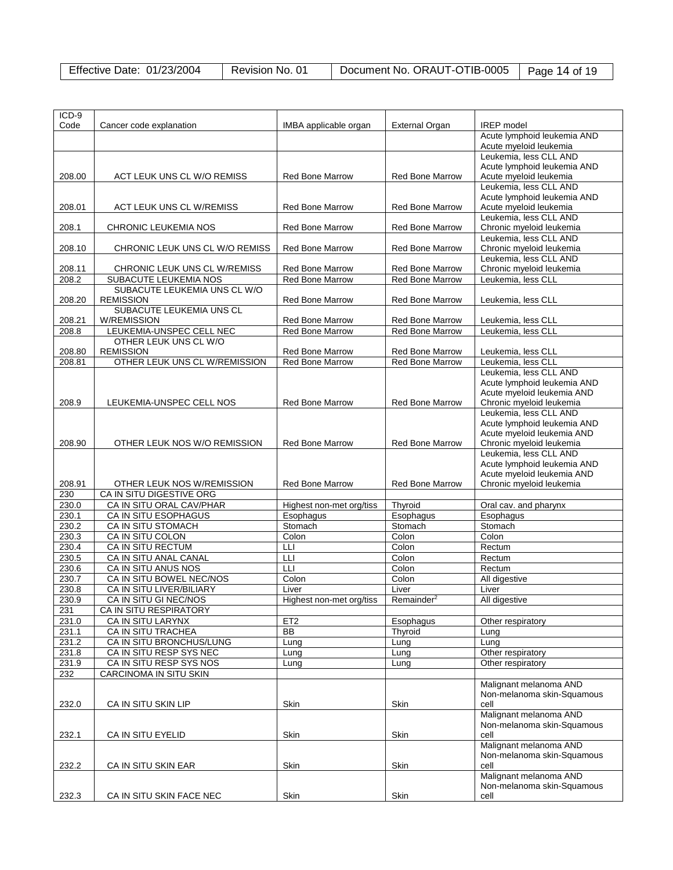| Effective Date: 01/23/2004 | Revision No. 01 | Document No. ORAUT-OTIB-0005   Page 14 of 19 |  |
|----------------------------|-----------------|----------------------------------------------|--|
|----------------------------|-----------------|----------------------------------------------|--|

| ICD-9          |                                                   |                          |                        |                                                        |
|----------------|---------------------------------------------------|--------------------------|------------------------|--------------------------------------------------------|
| Code           | Cancer code explanation                           | IMBA applicable organ    | External Organ         | <b>IREP</b> model<br>Acute lymphoid leukemia AND       |
|                |                                                   |                          |                        | Acute myeloid leukemia                                 |
|                |                                                   |                          |                        | Leukemia, less CLL AND                                 |
|                |                                                   |                          |                        | Acute lymphoid leukemia AND                            |
| 208.00         | ACT LEUK UNS CL W/O REMISS                        | <b>Red Bone Marrow</b>   | <b>Red Bone Marrow</b> | Acute myeloid leukemia                                 |
|                |                                                   |                          |                        | Leukemia. less CLL AND                                 |
|                |                                                   |                          |                        | Acute lymphoid leukemia AND                            |
| 208.01         | ACT LEUK UNS CL W/REMISS                          | <b>Red Bone Marrow</b>   | <b>Red Bone Marrow</b> | Acute myeloid leukemia                                 |
| 208.1          | CHRONIC LEUKEMIA NOS                              | <b>Red Bone Marrow</b>   | <b>Red Bone Marrow</b> | Leukemia, less CLL AND<br>Chronic myeloid leukemia     |
|                |                                                   |                          |                        | Leukemia, less CLL AND                                 |
| 208.10         | CHRONIC LEUK UNS CL W/O REMISS                    | <b>Red Bone Marrow</b>   | Red Bone Marrow        | Chronic myeloid leukemia                               |
|                |                                                   |                          |                        | Leukemia, less CLL AND                                 |
| 208.11         | CHRONIC LEUK UNS CL W/REMISS                      | <b>Red Bone Marrow</b>   | <b>Red Bone Marrow</b> | Chronic myeloid leukemia                               |
| 208.2          | SUBACUTE LEUKEMIA NOS                             | Red Bone Marrow          | Red Bone Marrow        | Leukemia, less CLL                                     |
|                | SUBACUTE LEUKEMIA UNS CL W/O                      |                          |                        |                                                        |
| 208.20         | <b>REMISSION</b>                                  | Red Bone Marrow          | <b>Red Bone Marrow</b> | Leukemia, less CLL                                     |
| 208.21         | SUBACUTE LEUKEMIA UNS CL<br><b>W/REMISSION</b>    | <b>Red Bone Marrow</b>   | <b>Red Bone Marrow</b> | Leukemia, less CLL                                     |
| 208.8          | LEUKEMIA-UNSPEC CELL NEC                          | <b>Red Bone Marrow</b>   | <b>Red Bone Marrow</b> | Leukemia, less CLL                                     |
|                | OTHER LEUK UNS CL W/O                             |                          |                        |                                                        |
| 208.80         | <b>REMISSION</b>                                  | Red Bone Marrow          | Red Bone Marrow        | Leukemia, less CLL                                     |
| 208.81         | OTHER LEUK UNS CL W/REMISSION                     | Red Bone Marrow          | Red Bone Marrow        | Leukemia, less CLL                                     |
|                |                                                   |                          |                        | Leukemia, less CLL AND                                 |
|                |                                                   |                          |                        | Acute lymphoid leukemia AND                            |
| 208.9          | LEUKEMIA-UNSPEC CELL NOS                          | <b>Red Bone Marrow</b>   | <b>Red Bone Marrow</b> | Acute myeloid leukemia AND<br>Chronic myeloid leukemia |
|                |                                                   |                          |                        | Leukemia, less CLL AND                                 |
|                |                                                   |                          |                        | Acute lymphoid leukemia AND                            |
|                |                                                   |                          |                        | Acute myeloid leukemia AND                             |
| 208.90         | OTHER LEUK NOS W/O REMISSION                      | <b>Red Bone Marrow</b>   | <b>Red Bone Marrow</b> | Chronic myeloid leukemia                               |
|                |                                                   |                          |                        | Leukemia, less CLL AND                                 |
|                |                                                   |                          |                        | Acute lymphoid leukemia AND                            |
| 208.91         | OTHER LEUK NOS W/REMISSION                        | <b>Red Bone Marrow</b>   | <b>Red Bone Marrow</b> | Acute myeloid leukemia AND<br>Chronic myeloid leukemia |
| 230            | CA IN SITU DIGESTIVE ORG                          |                          |                        |                                                        |
| 230.0          | CA IN SITU ORAL CAV/PHAR                          | Highest non-met org/tiss | Thyroid                | Oral cav. and pharynx                                  |
| 230.1          | CA IN SITU ESOPHAGUS                              | Esophagus                | Esophagus              | Esophagus                                              |
| 230.2          | CA IN SITU STOMACH                                | Stomach                  | Stomach                | Stomach                                                |
| 230.3          | CA IN SITU COLON                                  | Colon                    | Colon                  | Colon                                                  |
| 230.4          | <b>CA IN SITU RECTUM</b>                          | LЦ                       | Colon                  | Rectum                                                 |
| 230.5          | CA IN SITU ANAL CANAL                             | LLI                      | Colon                  | Rectum                                                 |
| 230.6          | CA IN SITU ANUS NOS                               | LLI                      | Colon                  | Rectum                                                 |
| 230.7          | CA IN SITU BOWEL NEC/NOS                          | Colon                    | Colon                  | All digestive                                          |
| 230.8<br>230.9 | CA IN SITU LIVER/BILIARY<br>CA IN SITU GI NEC/NOS | Liver                    | Liver                  | Liver<br>All digestive                                 |
| 231            | CA IN SITU RESPIRATORY                            | Highest non-met org/tiss | Remainder              |                                                        |
| 231.0          | CA IN SITU LARYNX                                 | ET <sub>2</sub>          | Esophagus              | Other respiratory                                      |
| 231.1          | CA IN SITU TRACHEA                                | <b>BB</b>                | Thyroid                | Lung                                                   |
| 231.2          | CA IN SITU BRONCHUS/LUNG                          | Lung                     | Lung                   | Lung                                                   |
| 231.8          | CA IN SITU RESP SYS NEC                           | Lung                     | Lung                   | Other respiratory                                      |
| 231.9          | CA IN SITU RESP SYS NOS                           | Lung                     | Lung                   | Other respiratory                                      |
| 232            | <b>CARCINOMA IN SITU SKIN</b>                     |                          |                        |                                                        |
|                |                                                   |                          |                        | Malignant melanoma AND                                 |
| 232.0          | CA IN SITU SKIN LIP                               | Skin                     | Skin                   | Non-melanoma skin-Squamous<br>cell                     |
|                |                                                   |                          |                        | Malignant melanoma AND                                 |
|                |                                                   |                          |                        | Non-melanoma skin-Squamous                             |
| 232.1          | CA IN SITU EYELID                                 | Skin                     | Skin                   | cell                                                   |
|                |                                                   |                          |                        | Malignant melanoma AND                                 |
|                |                                                   |                          |                        | Non-melanoma skin-Squamous                             |
| 232.2          | CA IN SITU SKIN EAR                               | Skin                     | Skin                   | cell                                                   |
|                |                                                   |                          |                        | Malignant melanoma AND                                 |
| 232.3          | CA IN SITU SKIN FACE NEC                          | Skin                     | Skin                   | Non-melanoma skin-Squamous                             |
|                |                                                   |                          |                        | cell                                                   |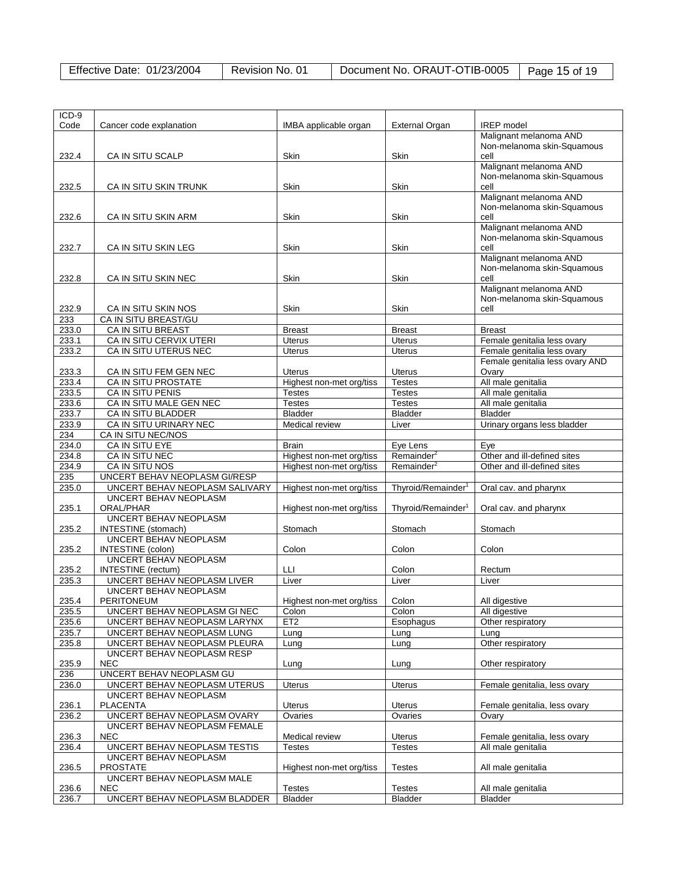| Effective Date: 01/23/2004 | Revision No. 01 | Document No. ORAUT-OTIB-0005   Page 15 of 19 |  |
|----------------------------|-----------------|----------------------------------------------|--|
|----------------------------|-----------------|----------------------------------------------|--|

| ICD-9 |                                |                          |                                |                                 |
|-------|--------------------------------|--------------------------|--------------------------------|---------------------------------|
| Code  | Cancer code explanation        | IMBA applicable organ    | <b>External Organ</b>          | <b>IREP</b> model               |
|       |                                |                          |                                | Malignant melanoma AND          |
|       |                                |                          |                                | Non-melanoma skin-Squamous      |
|       |                                |                          |                                | cell                            |
| 232.4 | CA IN SITU SCALP               | Skin                     | Skin                           | Malignant melanoma AND          |
|       |                                |                          |                                |                                 |
|       |                                |                          |                                | Non-melanoma skin-Squamous      |
| 232.5 | CA IN SITU SKIN TRUNK          | Skin                     | Skin                           | cell                            |
|       |                                |                          |                                | Malignant melanoma AND          |
|       |                                |                          |                                | Non-melanoma skin-Squamous      |
| 232.6 | CA IN SITU SKIN ARM            | Skin                     | Skin                           | cell                            |
|       |                                |                          |                                | Malignant melanoma AND          |
|       |                                |                          |                                | Non-melanoma skin-Squamous      |
| 232.7 | CA IN SITU SKIN LEG            | Skin                     | Skin                           | cell                            |
|       |                                |                          |                                | Malignant melanoma AND          |
|       |                                |                          |                                | Non-melanoma skin-Squamous      |
| 232.8 | CA IN SITU SKIN NEC            | <b>Skin</b>              | <b>Skin</b>                    | cell                            |
|       |                                |                          |                                | Malignant melanoma AND          |
|       |                                |                          |                                | Non-melanoma skin-Squamous      |
| 232.9 | CA IN SITU SKIN NOS            | Skin                     | Skin                           | cell                            |
| 233   | CA IN SITU BREAST/GU           |                          |                                |                                 |
| 233.0 |                                |                          |                                |                                 |
|       | CA IN SITU BREAST              | <b>Breast</b>            | <b>Breast</b>                  | <b>Breast</b>                   |
| 233.1 | CA IN SITU CERVIX UTERI        | <b>Uterus</b>            | <b>Uterus</b>                  | Female genitalia less ovary     |
| 233.2 | CA IN SITU UTERUS NEC          | <b>Uterus</b>            | <b>Uterus</b>                  | Female genitalia less ovary     |
|       |                                |                          |                                | Female genitalia less ovary AND |
| 233.3 | CA IN SITU FEM GEN NEC         | <b>Uterus</b>            | <b>Uterus</b>                  | Ovary                           |
| 233.4 | CA IN SITU PROSTATE            | Highest non-met org/tiss | <b>Testes</b>                  | All male genitalia              |
| 233.5 | CA IN SITU PENIS               | <b>Testes</b>            | <b>Testes</b>                  | All male genitalia              |
| 233.6 | CA IN SITU MALE GEN NEC        | <b>Testes</b>            | <b>Testes</b>                  | All male genitalia              |
| 233.7 | CA IN SITU BLADDER             | <b>Bladder</b>           | <b>Bladder</b>                 | Bladder                         |
| 233.9 | CA IN SITU URINARY NEC         | Medical review           | Liver                          | Urinary organs less bladder     |
|       | CA IN SITU NEC/NOS             |                          |                                |                                 |
| 234   |                                |                          |                                |                                 |
| 234.0 | CA IN SITU EYE                 | <b>Brain</b>             | Eye Lens                       | Eye                             |
| 234.8 | CA IN SITU NEC                 | Highest non-met org/tiss | Remainder <sup>2</sup>         | Other and ill-defined sites     |
| 234.9 | CA IN SITU NOS                 | Highest non-met org/tiss | Remainder <sup>2</sup>         | Other and ill-defined sites     |
| 235   | UNCERT BEHAV NEOPLASM GI/RESP  |                          |                                |                                 |
| 235.0 | UNCERT BEHAV NEOPLASM SALIVARY | Highest non-met org/tiss | Thyroid/Remainder <sup>1</sup> | Oral cav. and pharynx           |
|       | UNCERT BEHAV NEOPLASM          |                          |                                |                                 |
| 235.1 | ORAL/PHAR                      | Highest non-met org/tiss | Thyroid/Remainder <sup>1</sup> | Oral cav. and pharynx           |
|       | <b>UNCERT BEHAV NEOPLASM</b>   |                          |                                |                                 |
| 235.2 | INTESTINE (stomach)            | Stomach                  | Stomach                        | Stomach                         |
|       | UNCERT BEHAV NEOPLASM          |                          |                                |                                 |
| 235.2 | INTESTINE (colon)              | Colon                    | Colon                          | Colon                           |
|       | UNCERT BEHAV NEOPLASM          |                          |                                |                                 |
| 235.2 | INTESTINE (rectum)             | LLI                      | Colon                          | Rectum                          |
|       |                                |                          |                                |                                 |
| 235.3 | UNCERT BEHAV NEOPLASM LIVER    | Liver                    | Liver                          | Liver                           |
|       | UNCERT BEHAV NEOPLASM          |                          |                                |                                 |
| 235.4 | PERITONEUM                     | Highest non-met org/tiss | Colon                          | All digestive                   |
| 235.5 | UNCERT BEHAV NEOPLASM GI NEC   | Colon                    | Colon                          | All digestive                   |
| 235.6 | UNCERT BEHAV NEOPLASM LARYNX   | ET <sub>2</sub>          | Esophagus                      | Other respiratory               |
| 235.7 | UNCERT BEHAV NEOPLASM LUNG     | Lung                     | Lung                           | Lung                            |
| 235.8 | UNCERT BEHAV NEOPLASM PLEURA   | Lung                     | Lung                           | Other respiratory               |
|       | UNCERT BEHAV NEOPLASM RESP     |                          |                                |                                 |
| 235.9 | NEC.                           | Lung                     | Lung                           | Other respiratory               |
| 236   | UNCERT BEHAV NEOPLASM GU       |                          |                                |                                 |
| 236.0 | UNCERT BEHAV NEOPLASM UTERUS   | <b>Uterus</b>            | <b>Uterus</b>                  | Female genitalia, less ovary    |
|       | UNCERT BEHAV NEOPLASM          |                          |                                |                                 |
|       |                                |                          |                                |                                 |
| 236.1 | <b>PLACENTA</b>                | Uterus                   | Uterus                         | Female genitalia, less ovary    |
| 236.2 | UNCERT BEHAV NEOPLASM OVARY    | Ovaries                  | Ovaries                        | Ovary                           |
|       | UNCERT BEHAV NEOPLASM FEMALE   |                          |                                |                                 |
| 236.3 | <b>NEC</b>                     | Medical review           | Uterus                         | Female genitalia, less ovary    |
| 236.4 | UNCERT BEHAV NEOPLASM TESTIS   | Testes                   | <b>Testes</b>                  | All male genitalia              |
|       | UNCERT BEHAV NEOPLASM          |                          |                                |                                 |
| 236.5 | <b>PROSTATE</b>                | Highest non-met org/tiss | <b>Testes</b>                  | All male genitalia              |
|       | UNCERT BEHAV NEOPLASM MALE     |                          |                                |                                 |
|       |                                |                          |                                | All male genitalia              |
| 236.6 | <b>NEC</b>                     | <b>Testes</b>            | <b>Testes</b>                  |                                 |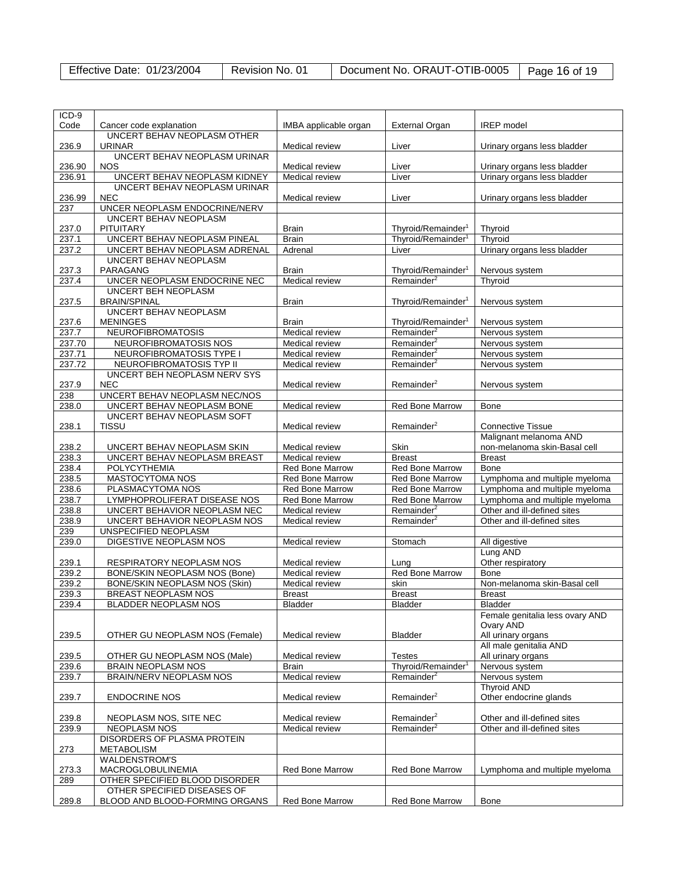| <b>Effective Date: 01/23/2004</b> | Revision No. 01 | Document No. ORAUT-OTIB-0005   Page 16 of 19 |  |
|-----------------------------------|-----------------|----------------------------------------------|--|
|-----------------------------------|-----------------|----------------------------------------------|--|

| ICD-9<br>Code |                                                        |                        |                                | <b>IREP</b> model               |
|---------------|--------------------------------------------------------|------------------------|--------------------------------|---------------------------------|
|               | Cancer code explanation<br>UNCERT BEHAV NEOPLASM OTHER | IMBA applicable organ  | <b>External Organ</b>          |                                 |
| 236.9         | <b>URINAR</b>                                          | Medical review         | Liver                          | Urinary organs less bladder     |
|               | UNCERT BEHAV NEOPLASM URINAR                           |                        |                                |                                 |
| 236.90        | <b>NOS</b>                                             | Medical review         | Liver                          | Urinary organs less bladder     |
| 236.91        | UNCERT BEHAV NEOPLASM KIDNEY                           | Medical review         | Liver                          | Urinary organs less bladder     |
|               | UNCERT BEHAV NEOPLASM URINAR                           |                        |                                |                                 |
| 236.99        | <b>NEC</b>                                             | Medical review         | Liver                          | Urinary organs less bladder     |
| 237           | UNCER NEOPLASM ENDOCRINE/NERV                          |                        |                                |                                 |
|               | UNCERT BEHAV NEOPLASM                                  |                        |                                |                                 |
| 237.0         | <b>PITUITARY</b>                                       | <b>Brain</b>           | Thyroid/Remainder <sup>1</sup> | Thyroid                         |
|               | UNCERT BEHAV NEOPLASM PINEAL                           | <b>Brain</b>           |                                |                                 |
| 237.1         |                                                        |                        | Thyroid/Remainder <sup>1</sup> | Thyroid                         |
| 237.2         | UNCERT BEHAV NEOPLASM ADRENAL                          | Adrenal                | Liver                          | Urinary organs less bladder     |
|               | UNCERT BEHAV NEOPLASM                                  |                        |                                |                                 |
| 237.3         | PARAGANG                                               | <b>Brain</b>           | Thyroid/Remainder <sup>1</sup> | Nervous system                  |
| 237.4         | UNCER NEOPLASM ENDOCRINE NEC                           | Medical review         | Remainder $2$                  | Thyroid                         |
|               | <b>UNCERT BEH NEOPLASM</b>                             |                        |                                |                                 |
| 237.5         | <b>BRAIN/SPINAL</b>                                    | <b>Brain</b>           | Thyroid/Remainder <sup>1</sup> | Nervous system                  |
|               | UNCERT BEHAV NEOPLASM                                  |                        |                                |                                 |
| 237.6         | <b>MENINGES</b>                                        | Brain                  | Thyroid/Remainder <sup>1</sup> | Nervous system                  |
| 237.7         | <b>NEUROFIBROMATOSIS</b>                               | Medical review         | Remainder <sup>2</sup>         | Nervous system                  |
| 237.70        | NEUROFIBROMATOSIS NOS                                  | Medical review         | Remainder <sup>2</sup>         | Nervous system                  |
| 237.71        | NEUROFIBROMATOSIS TYPE I                               | Medical review         | Remainder <sup>2</sup>         | Nervous system                  |
| 237.72        | NEUROFIBROMATOSIS TYP II                               | Medical review         | Remainder <sup>2</sup>         | Nervous system                  |
|               | UNCERT BEH NEOPLASM NERV SYS                           |                        |                                |                                 |
| 237.9         | <b>NEC</b>                                             | Medical review         | Remainder <sup>2</sup>         | Nervous system                  |
| 238           | UNCERT BEHAV NEOPLASM NEC/NOS                          |                        |                                |                                 |
| 238.0         | UNCERT BEHAV NEOPLASM BONE                             | Medical review         | <b>Red Bone Marrow</b>         | <b>Bone</b>                     |
|               | UNCERT BEHAV NEOPLASM SOFT                             |                        |                                |                                 |
| 238.1         | <b>TISSU</b>                                           | Medical review         | Remainder <sup>2</sup>         | <b>Connective Tissue</b>        |
|               |                                                        |                        |                                | Malignant melanoma AND          |
| 238.2         | UNCERT BEHAV NEOPLASM SKIN                             | Medical review         | Skin                           | non-melanoma skin-Basal cell    |
| 238.3         | UNCERT BEHAV NEOPLASM BREAST                           | Medical review         | <b>Breast</b>                  | <b>Breast</b>                   |
| 238.4         | POLYCYTHEMIA                                           | Red Bone Marrow        | Red Bone Marrow                | <b>Bone</b>                     |
| 238.5         | MASTOCYTOMA NOS                                        | <b>Red Bone Marrow</b> | <b>Red Bone Marrow</b>         | Lymphoma and multiple myeloma   |
| 238.6         | PLASMACYTOMA NOS                                       | Red Bone Marrow        | Red Bone Marrow                | Lymphoma and multiple myeloma   |
| 238.7         | LYMPHOPROLIFERAT DISEASE NOS                           | Red Bone Marrow        | Red Bone Marrow                | Lymphoma and multiple myeloma   |
| 238.8         | UNCERT BEHAVIOR NEOPLASM NEC                           | Medical review         | Remainder <sup>2</sup>         | Other and ill-defined sites     |
| 238.9         | UNCERT BEHAVIOR NEOPLASM NOS                           | Medical review         | Remainder <sup>2</sup>         | Other and ill-defined sites     |
| 239           | UNSPECIFIED NEOPLASM                                   |                        |                                |                                 |
| 239.0         | DIGESTIVE NEOPLASM NOS                                 | Medical review         | Stomach                        | All digestive                   |
|               |                                                        |                        |                                | Lung AND                        |
| 239.1         | RESPIRATORY NEOPLASM NOS                               | Medical review         | Lung                           | Other respiratory               |
| 239.2         | BONE/SKIN NEOPLASM NOS (Bone)                          | Medical review         | Red Bone Marrow                | Bone                            |
| 239.2         | BONE/SKIN NEOPLASM NOS (Skin)                          | Medical review         | skin                           | Non-melanoma skin-Basal cell    |
| 239.3         | BREAST NEOPLASM NOS                                    | <b>Breast</b>          | <b>Breast</b>                  | <b>Breast</b>                   |
| 239.4         | <b>BLADDER NEOPLASM NOS</b>                            | Bladder                | Bladder                        | <b>Bladder</b>                  |
|               |                                                        |                        |                                | Female genitalia less ovary AND |
|               |                                                        |                        |                                | Ovary AND                       |
| 239.5         | OTHER GU NEOPLASM NOS (Female)                         | Medical review         | <b>Bladder</b>                 | All urinary organs              |
|               |                                                        |                        |                                | All male genitalia AND          |
| 239.5         | OTHER GU NEOPLASM NOS (Male)                           | Medical review         | <b>Testes</b>                  | All urinary organs              |
| 239.6         | <b>BRAIN NEOPLASM NOS</b>                              | <b>Brain</b>           | Thyroid/Remainder <sup>1</sup> | Nervous system                  |
| 239.7         | BRAIN/NERV NEOPLASM NOS                                | Medical review         | Remainder <sup>2</sup>         | Nervous system                  |
|               |                                                        |                        |                                | Thyroid AND                     |
| 239.7         | <b>ENDOCRINE NOS</b>                                   | Medical review         | Remainder <sup>2</sup>         | Other endocrine glands          |
|               |                                                        |                        |                                |                                 |
| 239.8         | NEOPLASM NOS, SITE NEC                                 | Medical review         | Remainder <sup>2</sup>         | Other and ill-defined sites     |
| 239.9         | <b>NEOPLASM NOS</b>                                    | Medical review         | Remainder <sup>2</sup>         | Other and ill-defined sites     |
|               | DISORDERS OF PLASMA PROTEIN                            |                        |                                |                                 |
| 273           | <b>METABOLISM</b>                                      |                        |                                |                                 |
|               | <b>WALDENSTROM'S</b>                                   |                        |                                |                                 |
| 273.3         | MACROGLOBULINEMIA                                      | Red Bone Marrow        | Red Bone Marrow                | Lymphoma and multiple myeloma   |
| 289           | OTHER SPECIFIED BLOOD DISORDER                         |                        |                                |                                 |
|               | OTHER SPECIFIED DISEASES OF                            |                        |                                |                                 |
| 289.8         | BLOOD AND BLOOD-FORMING ORGANS                         | Red Bone Marrow        | Red Bone Marrow                | Bone                            |
|               |                                                        |                        |                                |                                 |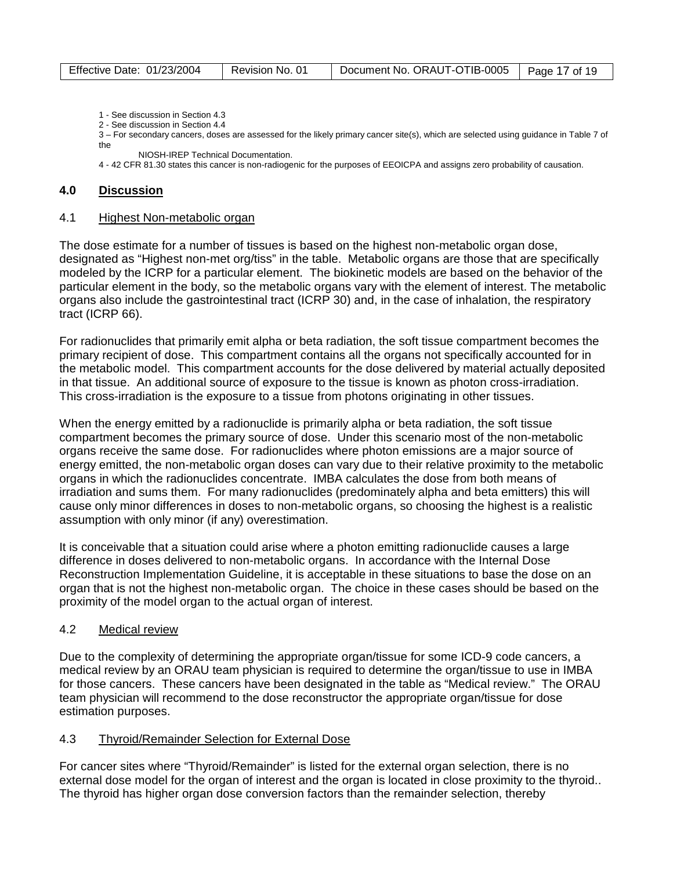| Effective Date: 01/23/2004<br>Document No. ORAUT-OTIB-0005   Page 17 of 19<br>Revision No. 01 |  |
|-----------------------------------------------------------------------------------------------|--|
|-----------------------------------------------------------------------------------------------|--|

- 1 See discussion in Section 4.3
- 2 See discussion in Section 4.4

3 – For secondary cancers, doses are assessed for the likely primary cancer site(s), which are selected using guidance in Table 7 of the

NIOSH-IREP Technical Documentation.

4 - 42 CFR 81.30 states this cancer is non-radiogenic for the purposes of EEOICPA and assigns zero probability of causation.

# **4.0 Discussion**

#### 4.1 Highest Non-metabolic organ

The dose estimate for a number of tissues is based on the highest non-metabolic organ dose, designated as "Highest non-met org/tiss" in the table. Metabolic organs are those that are specifically modeled by the ICRP for a particular element. The biokinetic models are based on the behavior of the particular element in the body, so the metabolic organs vary with the element of interest. The metabolic organs also include the gastrointestinal tract (ICRP 30) and, in the case of inhalation, the respiratory tract (ICRP 66).

For radionuclides that primarily emit alpha or beta radiation, the soft tissue compartment becomes the primary recipient of dose. This compartment contains all the organs not specifically accounted for in the metabolic model. This compartment accounts for the dose delivered by material actually deposited in that tissue. An additional source of exposure to the tissue is known as photon cross-irradiation. This cross-irradiation is the exposure to a tissue from photons originating in other tissues.

When the energy emitted by a radionuclide is primarily alpha or beta radiation, the soft tissue compartment becomes the primary source of dose. Under this scenario most of the non-metabolic organs receive the same dose. For radionuclides where photon emissions are a major source of energy emitted, the non-metabolic organ doses can vary due to their relative proximity to the metabolic organs in which the radionuclides concentrate. IMBA calculates the dose from both means of irradiation and sums them. For many radionuclides (predominately alpha and beta emitters) this will cause only minor differences in doses to non-metabolic organs, so choosing the highest is a realistic assumption with only minor (if any) overestimation.

It is conceivable that a situation could arise where a photon emitting radionuclide causes a large difference in doses delivered to non-metabolic organs. In accordance with the Internal Dose Reconstruction Implementation Guideline, it is acceptable in these situations to base the dose on an organ that is not the highest non-metabolic organ. The choice in these cases should be based on the proximity of the model organ to the actual organ of interest.

## 4.2 Medical review

Due to the complexity of determining the appropriate organ/tissue for some ICD-9 code cancers, a medical review by an ORAU team physician is required to determine the organ/tissue to use in IMBA for those cancers. These cancers have been designated in the table as "Medical review." The ORAU team physician will recommend to the dose reconstructor the appropriate organ/tissue for dose estimation purposes.

## 4.3 Thyroid/Remainder Selection for External Dose

For cancer sites where "Thyroid/Remainder" is listed for the external organ selection, there is no external dose model for the organ of interest and the organ is located in close proximity to the thyroid.. The thyroid has higher organ dose conversion factors than the remainder selection, thereby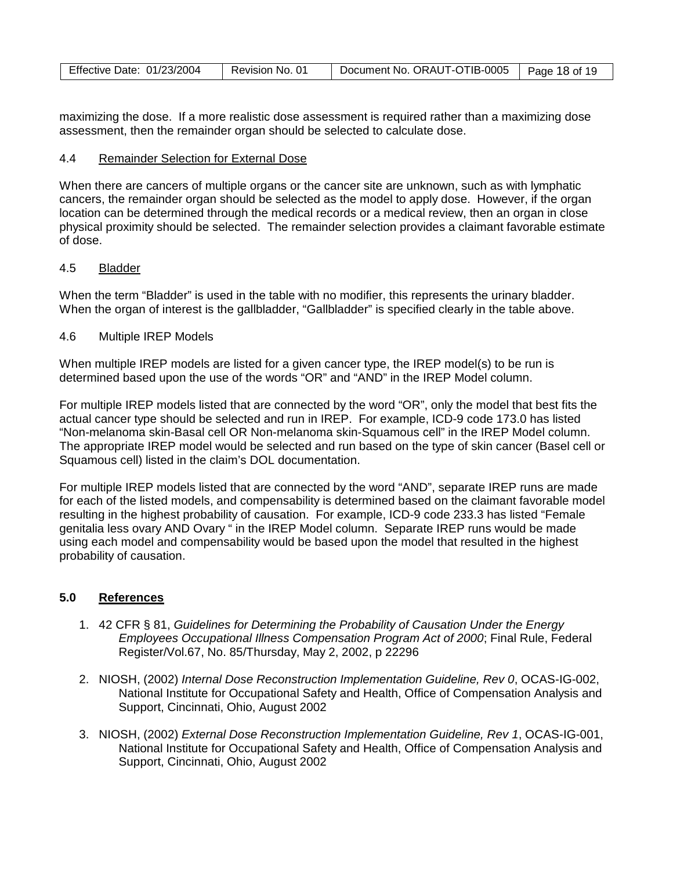| Effective Date: 01/23/2004 | Revision No. 01 | Document No. ORAUT-OTIB-0005 | Page 18 of 19 |
|----------------------------|-----------------|------------------------------|---------------|
|----------------------------|-----------------|------------------------------|---------------|

maximizing the dose. If a more realistic dose assessment is required rather than a maximizing dose assessment, then the remainder organ should be selected to calculate dose.

## 4.4 Remainder Selection for External Dose

When there are cancers of multiple organs or the cancer site are unknown, such as with lymphatic cancers, the remainder organ should be selected as the model to apply dose. However, if the organ location can be determined through the medical records or a medical review, then an organ in close physical proximity should be selected. The remainder selection provides a claimant favorable estimate of dose.

#### 4.5 Bladder

When the term "Bladder" is used in the table with no modifier, this represents the urinary bladder. When the organ of interest is the gallbladder, "Gallbladder" is specified clearly in the table above.

#### 4.6 Multiple IREP Models

When multiple IREP models are listed for a given cancer type, the IREP model(s) to be run is determined based upon the use of the words "OR" and "AND" in the IREP Model column.

For multiple IREP models listed that are connected by the word "OR", only the model that best fits the actual cancer type should be selected and run in IREP. For example, ICD-9 code 173.0 has listed "Non-melanoma skin-Basal cell OR Non-melanoma skin-Squamous cell" in the IREP Model column. The appropriate IREP model would be selected and run based on the type of skin cancer (Basel cell or Squamous cell) listed in the claim's DOL documentation.

For multiple IREP models listed that are connected by the word "AND", separate IREP runs are made for each of the listed models, and compensability is determined based on the claimant favorable model resulting in the highest probability of causation. For example, ICD-9 code 233.3 has listed "Female genitalia less ovary AND Ovary " in the IREP Model column. Separate IREP runs would be made using each model and compensability would be based upon the model that resulted in the highest probability of causation.

# **5.0 References**

- 1. 42 CFR § 81, *Guidelines for Determining the Probability of Causation Under the Energy Employees Occupational Illness Compensation Program Act of 2000*; Final Rule, Federal Register/Vol.67, No. 85/Thursday, May 2, 2002, p 22296
- 2. NIOSH, (2002) *Internal Dose Reconstruction Implementation Guideline, Rev 0*, OCAS-IG-002, National Institute for Occupational Safety and Health, Office of Compensation Analysis and Support, Cincinnati, Ohio, August 2002
- 3. NIOSH, (2002) *External Dose Reconstruction Implementation Guideline, Rev 1*, OCAS-IG-001, National Institute for Occupational Safety and Health, Office of Compensation Analysis and Support, Cincinnati, Ohio, August 2002